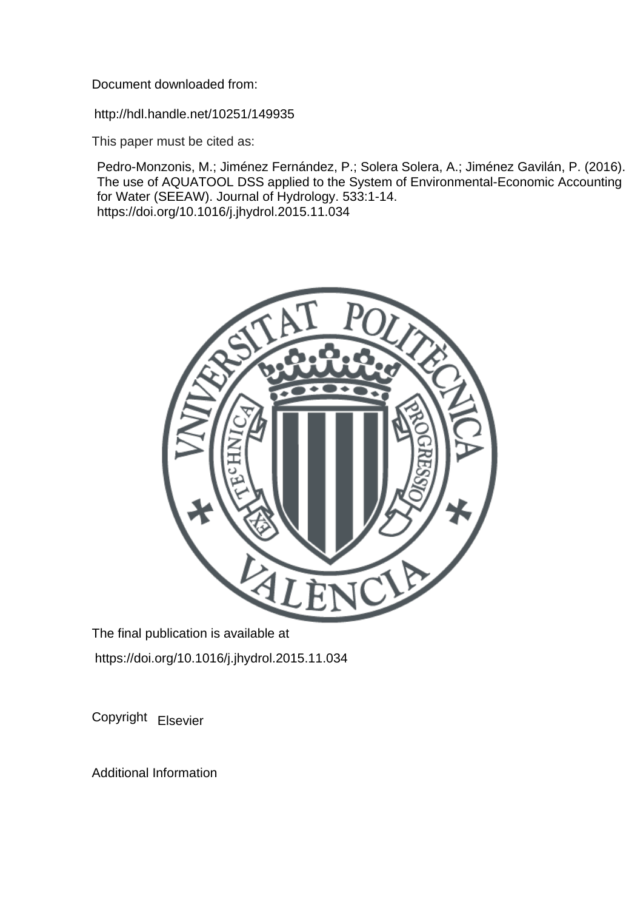Document downloaded from:

http://hdl.handle.net/10251/149935

This paper must be cited as:

Pedro-Monzonis, M.; Jiménez Fernández, P.; Solera Solera, A.; Jiménez Gavilán, P. (2016). The use of AQUATOOL DSS applied to the System of Environmental-Economic Accounting for Water (SEEAW). Journal of Hydrology. 533:1-14. https://doi.org/10.1016/j.jhydrol.2015.11.034



The final publication is available at https://doi.org/10.1016/j.jhydrol.2015.11.034

Copyright Elsevier

Additional Information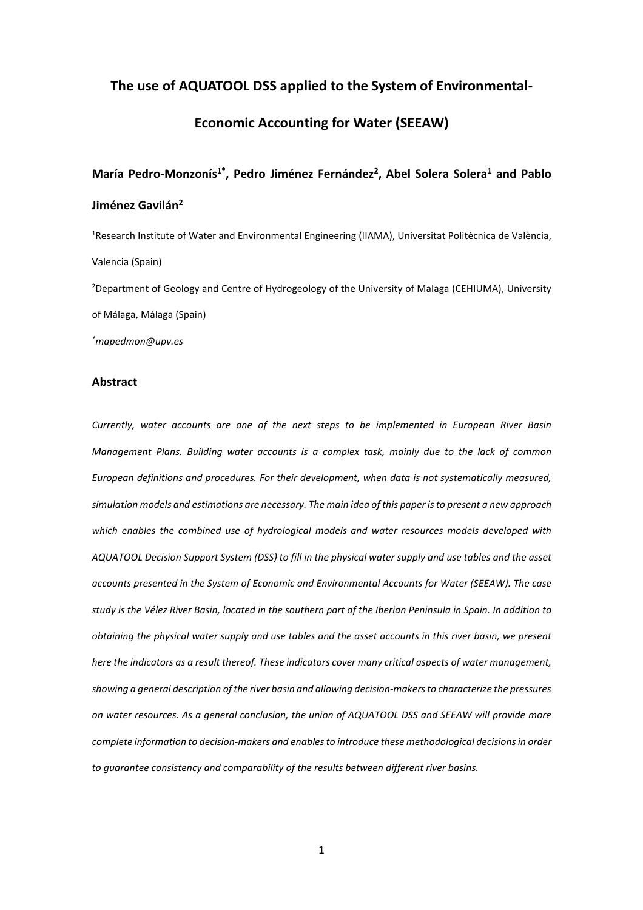# The use of AQUATOOL DSS applied to the System of Environmental-

# Economic Accounting for Water (SEEAW)

# María Pedro-Monzonís<sup>1\*</sup>, Pedro Jiménez Fernández<sup>2</sup>, Abel Solera Solera<sup>1</sup> and Pablo Jiménez Gavilán<sup>2</sup>

<sup>1</sup>Research Institute of Water and Environmental Engineering (IIAMA), Universitat Politècnica de València, Valencia (Spain) <sup>2</sup>Department of Geology and Centre of Hydrogeology of the University of Malaga (CEHIUMA), University of Málaga, Málaga (Spain)

\*mapedmon@upv.es

## Abstract

Currently, water accounts are one of the next steps to be implemented in European River Basin Management Plans. Building water accounts is a complex task, mainly due to the lack of common European definitions and procedures. For their development, when data is not systematically measured, simulation models and estimations are necessary. The main idea of this paper is to present a new approach which enables the combined use of hydrological models and water resources models developed with AQUATOOL Decision Support System (DSS) to fill in the physical water supply and use tables and the asset accounts presented in the System of Economic and Environmental Accounts for Water (SEEAW). The case study is the Vélez River Basin, located in the southern part of the Iberian Peninsula in Spain. In addition to obtaining the physical water supply and use tables and the asset accounts in this river basin, we present here the indicators as a result thereof. These indicators cover many critical aspects of water management, showing a general description of the river basin and allowing decision-makers to characterize the pressures on water resources. As a general conclusion, the union of AQUATOOL DSS and SEEAW will provide more complete information to decision-makers and enables to introduce these methodological decisions in order to guarantee consistency and comparability of the results between different river basins.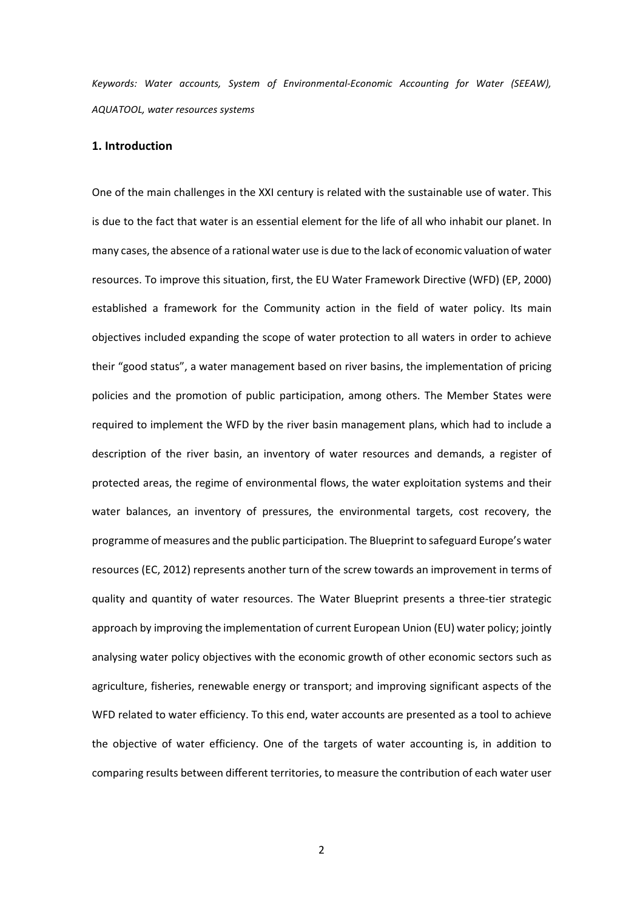Keywords: Water accounts, System of Environmental-Economic Accounting for Water (SEEAW), AQUATOOL, water resources systems

## 1. Introduction

One of the main challenges in the XXI century is related with the sustainable use of water. This is due to the fact that water is an essential element for the life of all who inhabit our planet. In many cases, the absence of a rational water use is due to the lack of economic valuation of water resources. To improve this situation, first, the EU Water Framework Directive (WFD) (EP, 2000) established a framework for the Community action in the field of water policy. Its main objectives included expanding the scope of water protection to all waters in order to achieve their "good status", a water management based on river basins, the implementation of pricing policies and the promotion of public participation, among others. The Member States were required to implement the WFD by the river basin management plans, which had to include a description of the river basin, an inventory of water resources and demands, a register of protected areas, the regime of environmental flows, the water exploitation systems and their water balances, an inventory of pressures, the environmental targets, cost recovery, the programme of measures and the public participation. The Blueprint to safeguard Europe's water resources (EC, 2012) represents another turn of the screw towards an improvement in terms of quality and quantity of water resources. The Water Blueprint presents a three-tier strategic approach by improving the implementation of current European Union (EU) water policy; jointly analysing water policy objectives with the economic growth of other economic sectors such as agriculture, fisheries, renewable energy or transport; and improving significant aspects of the WFD related to water efficiency. To this end, water accounts are presented as a tool to achieve the objective of water efficiency. One of the targets of water accounting is, in addition to comparing results between different territories, to measure the contribution of each water user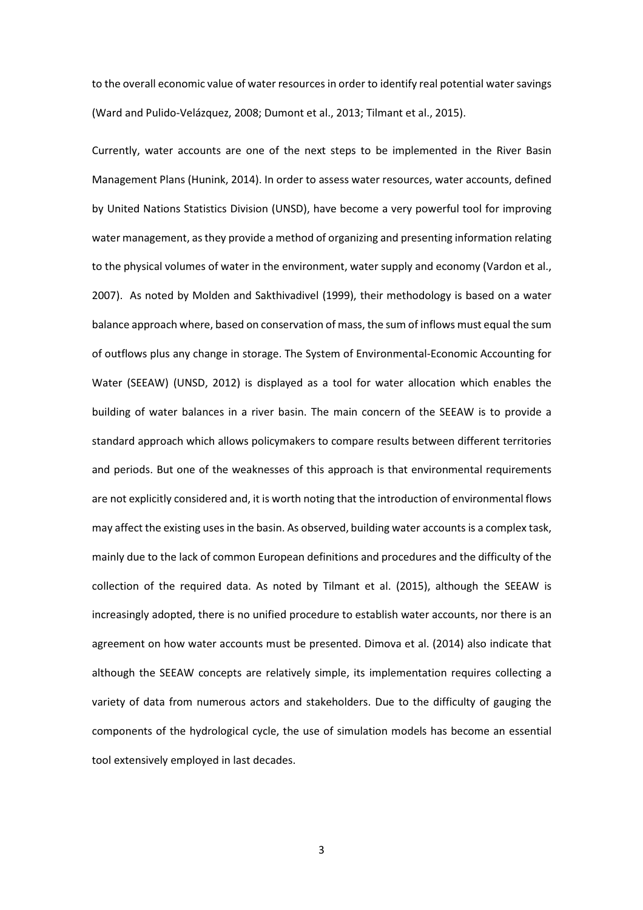to the overall economic value of water resources in order to identify real potential water savings (Ward and Pulido-Velázquez, 2008; Dumont et al., 2013; Tilmant et al., 2015).

Currently, water accounts are one of the next steps to be implemented in the River Basin Management Plans (Hunink, 2014). In order to assess water resources, water accounts, defined by United Nations Statistics Division (UNSD), have become a very powerful tool for improving water management, as they provide a method of organizing and presenting information relating to the physical volumes of water in the environment, water supply and economy (Vardon et al., 2007). As noted by Molden and Sakthivadivel (1999), their methodology is based on a water balance approach where, based on conservation of mass, the sum of inflows must equal the sum of outflows plus any change in storage. The System of Environmental-Economic Accounting for Water (SEEAW) (UNSD, 2012) is displayed as a tool for water allocation which enables the building of water balances in a river basin. The main concern of the SEEAW is to provide a standard approach which allows policymakers to compare results between different territories and periods. But one of the weaknesses of this approach is that environmental requirements are not explicitly considered and, it is worth noting that the introduction of environmental flows may affect the existing uses in the basin. As observed, building water accounts is a complex task, mainly due to the lack of common European definitions and procedures and the difficulty of the collection of the required data. As noted by Tilmant et al. (2015), although the SEEAW is increasingly adopted, there is no unified procedure to establish water accounts, nor there is an agreement on how water accounts must be presented. Dimova et al. (2014) also indicate that although the SEEAW concepts are relatively simple, its implementation requires collecting a variety of data from numerous actors and stakeholders. Due to the difficulty of gauging the components of the hydrological cycle, the use of simulation models has become an essential tool extensively employed in last decades.

3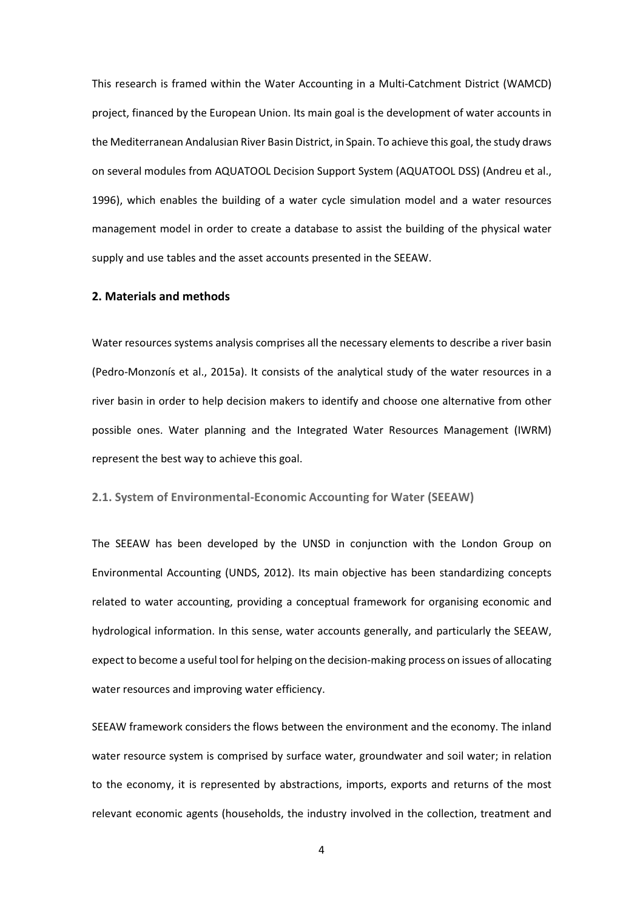This research is framed within the Water Accounting in a Multi-Catchment District (WAMCD) project, financed by the European Union. Its main goal is the development of water accounts in the Mediterranean Andalusian River Basin District, in Spain. To achieve this goal, the study draws on several modules from AQUATOOL Decision Support System (AQUATOOL DSS) (Andreu et al., 1996), which enables the building of a water cycle simulation model and a water resources management model in order to create a database to assist the building of the physical water supply and use tables and the asset accounts presented in the SEEAW.

# 2. Materials and methods

Water resources systems analysis comprises all the necessary elements to describe a river basin (Pedro-Monzonís et al., 2015a). It consists of the analytical study of the water resources in a river basin in order to help decision makers to identify and choose one alternative from other possible ones. Water planning and the Integrated Water Resources Management (IWRM) represent the best way to achieve this goal.

## 2.1. System of Environmental-Economic Accounting for Water (SEEAW)

The SEEAW has been developed by the UNSD in conjunction with the London Group on Environmental Accounting (UNDS, 2012). Its main objective has been standardizing concepts related to water accounting, providing a conceptual framework for organising economic and hydrological information. In this sense, water accounts generally, and particularly the SEEAW, expect to become a useful tool for helping on the decision-making process on issues of allocating water resources and improving water efficiency.

SEEAW framework considers the flows between the environment and the economy. The inland water resource system is comprised by surface water, groundwater and soil water; in relation to the economy, it is represented by abstractions, imports, exports and returns of the most relevant economic agents (households, the industry involved in the collection, treatment and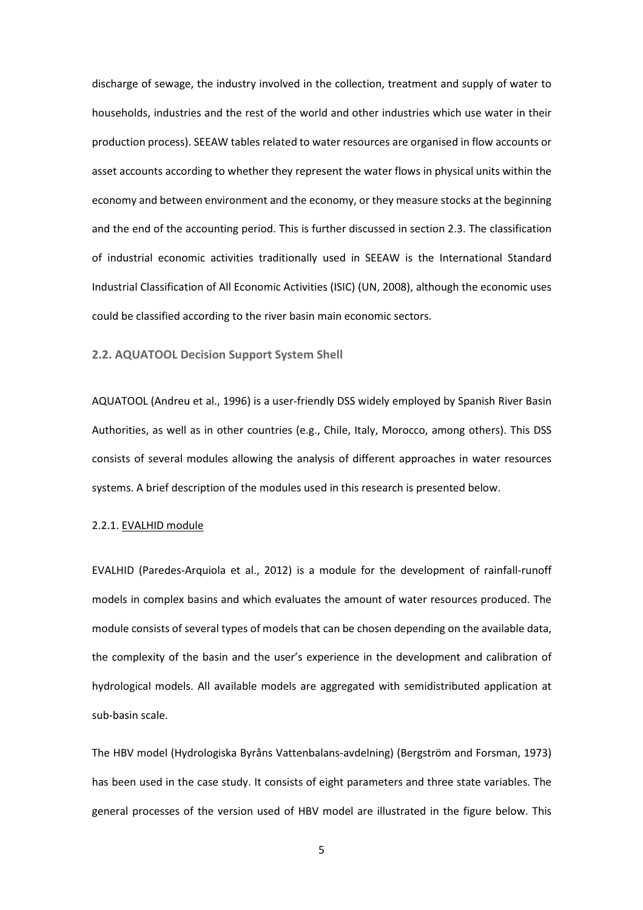discharge of sewage, the industry involved in the collection, treatment and supply of water to households, industries and the rest of the world and other industries which use water in their production process). SEEAW tables related to water resources are organised in flow accounts or asset accounts according to whether they represent the water flows in physical units within the economy and between environment and the economy, or they measure stocks at the beginning and the end of the accounting period. This is further discussed in section 2.3. The classification of industrial economic activities traditionally used in SEEAW is the International Standard Industrial Classification of All Economic Activities (ISIC) (UN, 2008), although the economic uses could be classified according to the river basin main economic sectors.

## 2.2. AQUATOOL Decision Support System Shell

AQUATOOL (Andreu et al., 1996) is a user-friendly DSS widely employed by Spanish River Basin Authorities, as well as in other countries (e.g., Chile, Italy, Morocco, among others). This DSS consists of several modules allowing the analysis of different approaches in water resources systems. A brief description of the modules used in this research is presented below.

## 2.2.1. EVALHID module

EVALHID (Paredes-Arquiola et al., 2012) is a module for the development of rainfall-runoff models in complex basins and which evaluates the amount of water resources produced. The module consists of several types of models that can be chosen depending on the available data, the complexity of the basin and the user's experience in the development and calibration of hydrological models. All available models are aggregated with semidistributed application at sub-basin scale.

The HBV model (Hydrologiska Byråns Vattenbalans-avdelning) (Bergström and Forsman, 1973) has been used in the case study. It consists of eight parameters and three state variables. The general processes of the version used of HBV model are illustrated in the figure below. This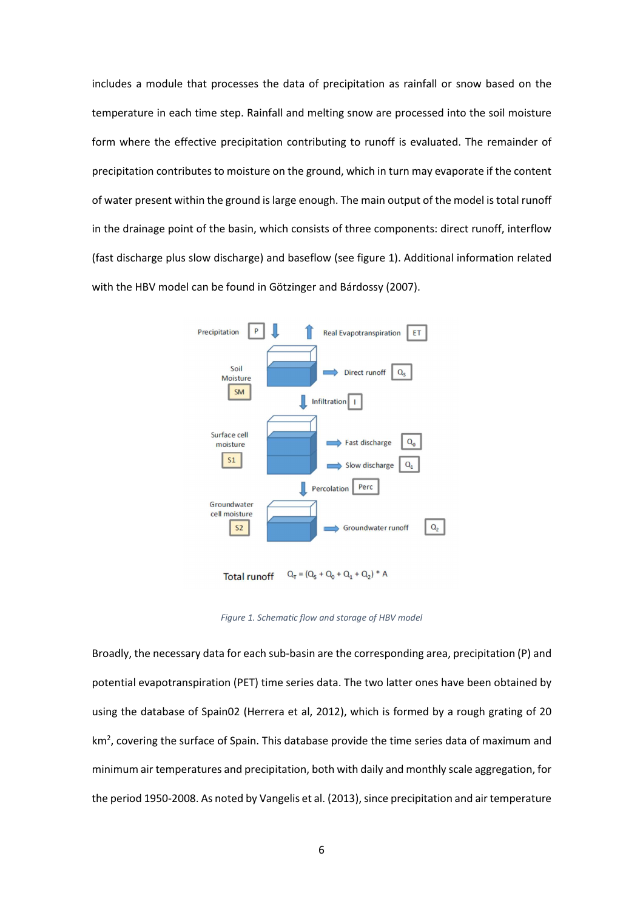includes a module that processes the data of precipitation as rainfall or snow based on the temperature in each time step. Rainfall and melting snow are processed into the soil moisture form where the effective precipitation contributing to runoff is evaluated. The remainder of precipitation contributes to moisture on the ground, which in turn may evaporate if the content of water present within the ground is large enough. The main output of the model is total runoff in the drainage point of the basin, which consists of three components: direct runoff, interflow (fast discharge plus slow discharge) and baseflow (see figure 1). Additional information related with the HBV model can be found in Götzinger and Bárdossy (2007).



 $Q_T = (Q_S + Q_0 + Q_1 + Q_2)^* A$ **Total runoff** 

Figure 1. Schematic flow and storage of HBV model

Broadly, the necessary data for each sub-basin are the corresponding area, precipitation (P) and potential evapotranspiration (PET) time series data. The two latter ones have been obtained by using the database of Spain02 (Herrera et al, 2012), which is formed by a rough grating of 20 km<sup>2</sup>, covering the surface of Spain. This database provide the time series data of maximum and minimum air temperatures and precipitation, both with daily and monthly scale aggregation, for the period 1950-2008. As noted by Vangelis et al. (2013), since precipitation and air temperature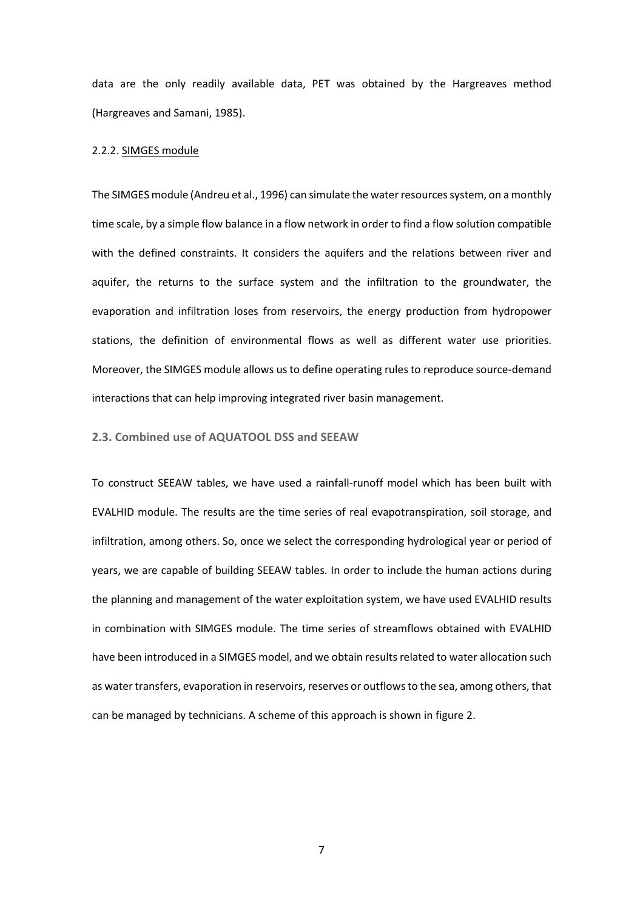data are the only readily available data, PET was obtained by the Hargreaves method (Hargreaves and Samani, 1985).

## 2.2.2. SIMGES module

The SIMGES module (Andreu et al., 1996) can simulate the water resources system, on a monthly time scale, by a simple flow balance in a flow network in order to find a flow solution compatible with the defined constraints. It considers the aquifers and the relations between river and aquifer, the returns to the surface system and the infiltration to the groundwater, the evaporation and infiltration loses from reservoirs, the energy production from hydropower stations, the definition of environmental flows as well as different water use priorities. Moreover, the SIMGES module allows us to define operating rules to reproduce source-demand interactions that can help improving integrated river basin management.

### 2.3. Combined use of AQUATOOL DSS and SEEAW

To construct SEEAW tables, we have used a rainfall-runoff model which has been built with EVALHID module. The results are the time series of real evapotranspiration, soil storage, and infiltration, among others. So, once we select the corresponding hydrological year or period of years, we are capable of building SEEAW tables. In order to include the human actions during the planning and management of the water exploitation system, we have used EVALHID results in combination with SIMGES module. The time series of streamflows obtained with EVALHID have been introduced in a SIMGES model, and we obtain results related to water allocation such as water transfers, evaporation in reservoirs, reserves or outflows to the sea, among others, that can be managed by technicians. A scheme of this approach is shown in figure 2.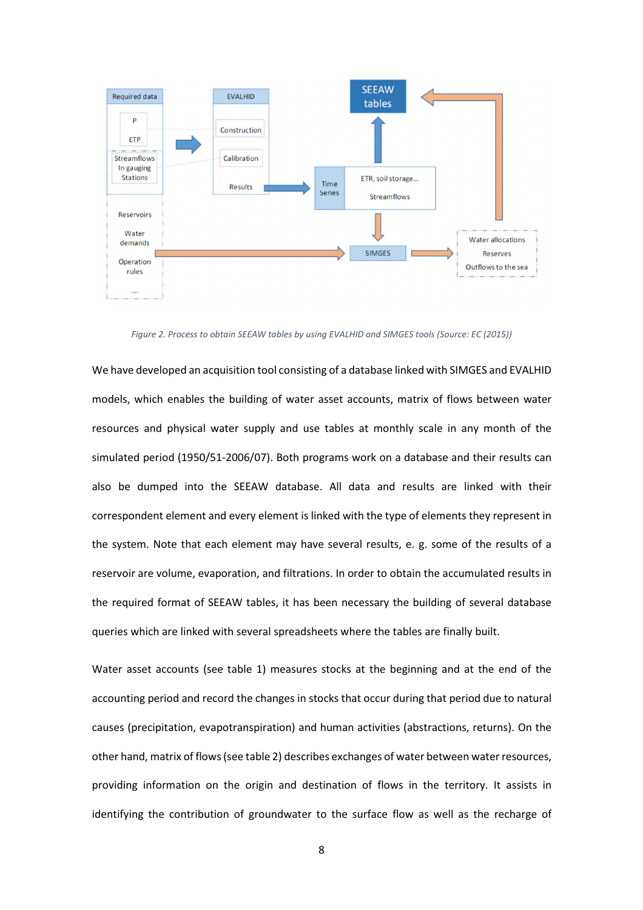

Figure 2. Process to obtain SEEAW tables by using EVALHID and SIMGES tools (Source: EC (2015))

We have developed an acquisition tool consisting of a database linked with SIMGES and EVALHID models, which enables the building of water asset accounts, matrix of flows between water resources and physical water supply and use tables at monthly scale in any month of the simulated period (1950/51-2006/07). Both programs work on a database and their results can also be dumped into the SEEAW database. All data and results are linked with their correspondent element and every element is linked with the type of elements they represent in the system. Note that each element may have several results, e. g. some of the results of a reservoir are volume, evaporation, and filtrations. In order to obtain the accumulated results in the required format of SEEAW tables, it has been necessary the building of several database queries which are linked with several spreadsheets where the tables are finally built.

Water asset accounts (see table 1) measures stocks at the beginning and at the end of the accounting period and record the changes in stocks that occur during that period due to natural causes (precipitation, evapotranspiration) and human activities (abstractions, returns). On the other hand, matrix of flows (see table 2) describes exchanges of water between water resources, providing information on the origin and destination of flows in the territory. It assists in identifying the contribution of groundwater to the surface flow as well as the recharge of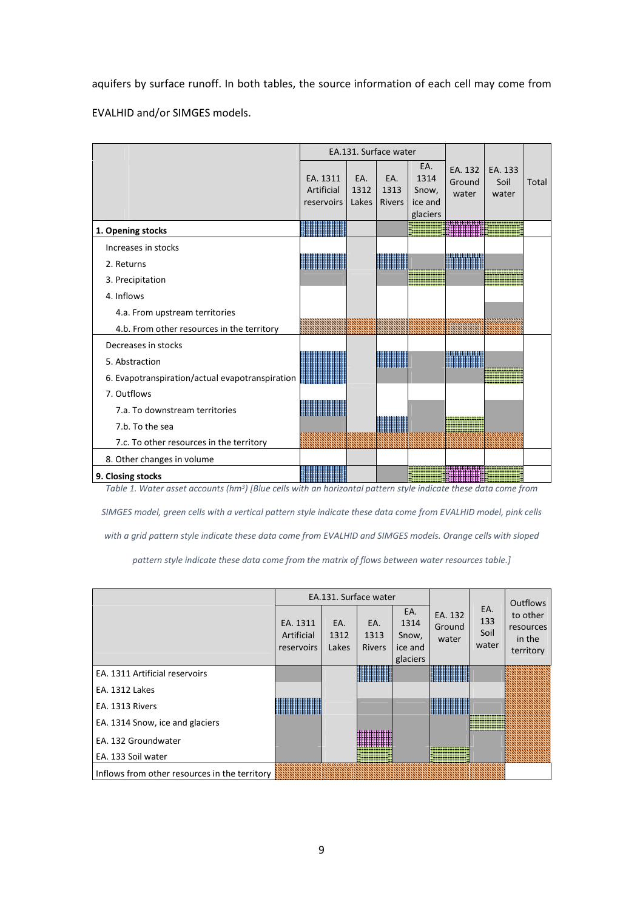aquifers by surface runoff. In both tables, the source information of each cell may come from EVALHID and/or SIMGES models.

|                                                 |                                      |                      | EA.131. Surface water        |                                             |                            |                          |       |
|-------------------------------------------------|--------------------------------------|----------------------|------------------------------|---------------------------------------------|----------------------------|--------------------------|-------|
|                                                 | EA. 1311<br>Artificial<br>reservoirs | EA.<br>1312<br>Lakes | EA.<br>1313<br><b>Rivers</b> | EA.<br>1314<br>Snow,<br>ice and<br>glaciers | EA. 132<br>Ground<br>water | EA. 133<br>Soil<br>water | Total |
| 1. Opening stocks                               |                                      |                      |                              |                                             |                            |                          |       |
| Increases in stocks                             |                                      |                      |                              |                                             |                            |                          |       |
| 2. Returns                                      |                                      |                      |                              |                                             |                            |                          |       |
| 3. Precipitation                                |                                      |                      |                              |                                             |                            |                          |       |
| 4. Inflows                                      |                                      |                      |                              |                                             |                            |                          |       |
| 4.a. From upstream territories                  |                                      |                      |                              |                                             |                            |                          |       |
| 4.b. From other resources in the territory      |                                      |                      |                              |                                             |                            |                          |       |
| Decreases in stocks                             |                                      |                      |                              |                                             |                            |                          |       |
| 5. Abstraction                                  |                                      |                      |                              |                                             |                            |                          |       |
| 6. Evapotranspiration/actual evapotranspiration |                                      |                      |                              |                                             |                            |                          |       |
| 7. Outflows                                     |                                      |                      |                              |                                             |                            |                          |       |
| 7.a. To downstream territories                  |                                      |                      |                              |                                             |                            |                          |       |
| 7.b. To the sea                                 |                                      |                      |                              |                                             |                            |                          |       |
| 7.c. To other resources in the territory        |                                      |                      |                              |                                             |                            |                          |       |
| 8. Other changes in volume                      |                                      |                      |                              |                                             |                            |                          |       |
| 9. Closing stocks                               |                                      |                      |                              |                                             |                            |                          |       |

Table 1. Water asset accounts (hm<sup>3</sup>) [Blue cells with an horizontal pattern style indicate these data come from

SIMGES model, green cells with a vertical pattern style indicate these data come from EVALHID model, pink cells with a grid pattern style indicate these data come from EVALHID and SIMGES models. Orange cells with sloped

pattern style indicate these data come from the matrix of flows between water resources table.]

|                                               |                                      |                      | EA.131. Surface water        |                                             |                            |                             | <b>Outflows</b>                              |
|-----------------------------------------------|--------------------------------------|----------------------|------------------------------|---------------------------------------------|----------------------------|-----------------------------|----------------------------------------------|
|                                               | EA. 1311<br>Artificial<br>reservoirs | EA.<br>1312<br>Lakes | EA.<br>1313<br><b>Rivers</b> | EA.<br>1314<br>Snow,<br>ice and<br>glaciers | EA. 132<br>Ground<br>water | EA.<br>133<br>Soil<br>water | to other<br>resources<br>in the<br>territory |
| EA. 1311 Artificial reservoirs                |                                      |                      |                              |                                             |                            |                             |                                              |
| <b>EA. 1312 Lakes</b>                         |                                      |                      |                              |                                             |                            |                             |                                              |
| EA. 1313 Rivers                               |                                      |                      |                              |                                             |                            |                             |                                              |
| EA. 1314 Snow, ice and glaciers               |                                      |                      |                              |                                             |                            |                             |                                              |
| EA. 132 Groundwater                           |                                      |                      | .                            |                                             |                            |                             |                                              |
| EA. 133 Soil water                            |                                      |                      |                              |                                             |                            |                             |                                              |
| Inflows from other resources in the territory |                                      |                      |                              |                                             |                            |                             |                                              |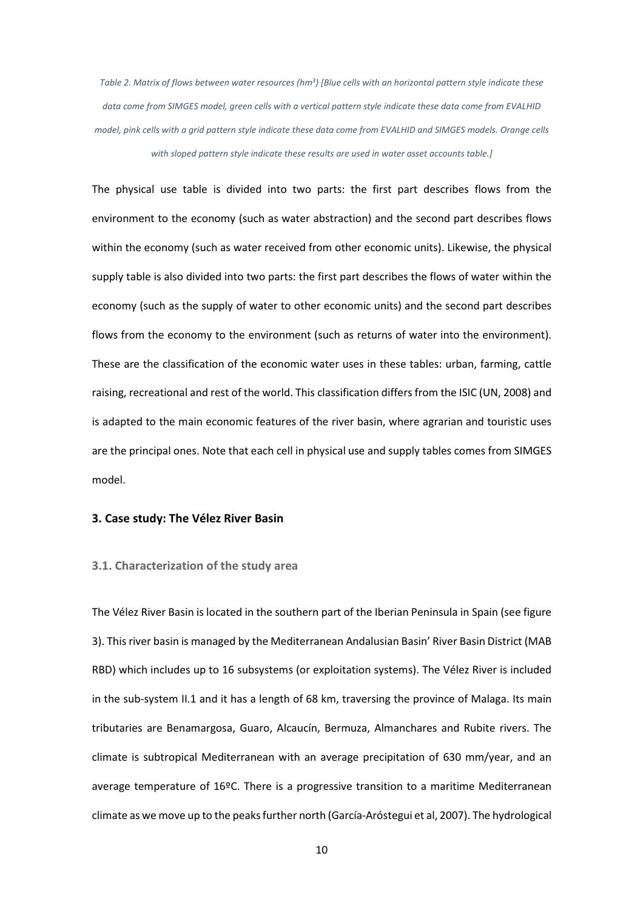Table 2. Matrix of flows between water resources (hm<sup>3</sup>) [Blue cells with an horizontal pattern style indicate these data come from SIMGES model, green cells with a vertical pattern style indicate these data come from EVALHID model, pink cells with a grid pattern style indicate these data come from EVALHID and SIMGES models. Orange cells with sloped pattern style indicate these results are used in water asset accounts table.]

The physical use table is divided into two parts: the first part describes flows from the environment to the economy (such as water abstraction) and the second part describes flows within the economy (such as water received from other economic units). Likewise, the physical supply table is also divided into two parts: the first part describes the flows of water within the economy (such as the supply of water to other economic units) and the second part describes flows from the economy to the environment (such as returns of water into the environment). These are the classification of the economic water uses in these tables: urban, farming, cattle raising, recreational and rest of the world. This classification differs from the ISIC (UN, 2008) and is adapted to the main economic features of the river basin, where agrarian and touristic uses are the principal ones. Note that each cell in physical use and supply tables comes from SIMGES model.

## 3. Case study: The Vélez River Basin

# 3.1. Characterization of the study area

The Vélez River Basin is located in the southern part of the Iberian Peninsula in Spain (see figure 3). This river basin is managed by the Mediterranean Andalusian Basin' River Basin District (MAB RBD) which includes up to 16 subsystems (or exploitation systems). The Vélez River is included in the sub-system II.1 and it has a length of 68 km, traversing the province of Malaga. Its main tributaries are Benamargosa, Guaro, Alcaucín, Bermuza, Almanchares and Rubite rivers. The climate is subtropical Mediterranean with an average precipitation of 630 mm/year, and an average temperature of 16ºC. There is a progressive transition to a maritime Mediterranean climate as we move up to the peaks further north (García-Aróstegui et al, 2007). The hydrological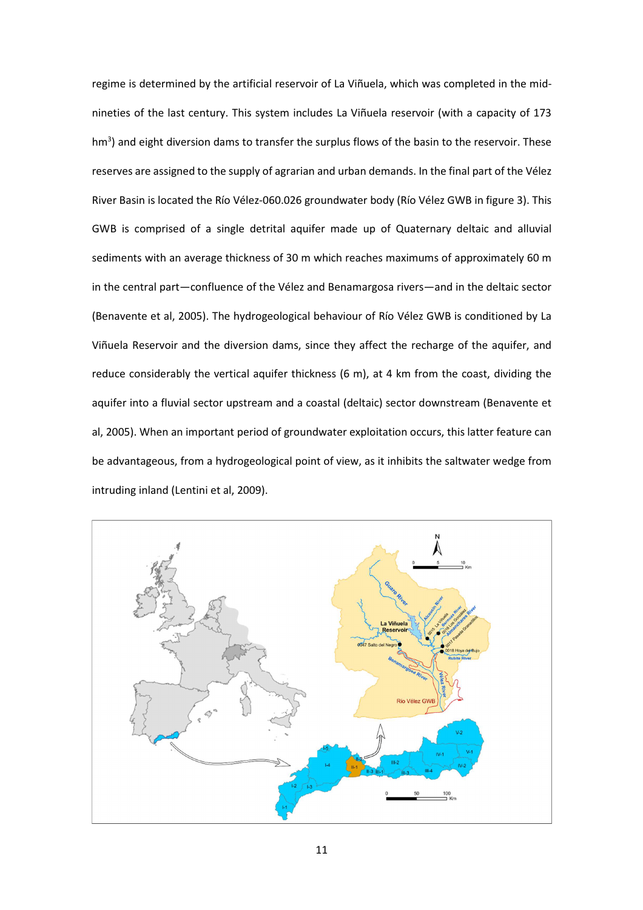regime is determined by the artificial reservoir of La Viñuela, which was completed in the midnineties of the last century. This system includes La Viñuela reservoir (with a capacity of 173 hm<sup>3</sup>) and eight diversion dams to transfer the surplus flows of the basin to the reservoir. These reserves are assigned to the supply of agrarian and urban demands. In the final part of the Vélez River Basin is located the Río Vélez-060.026 groundwater body (Río Vélez GWB in figure 3). This GWB is comprised of a single detrital aquifer made up of Quaternary deltaic and alluvial sediments with an average thickness of 30 m which reaches maximums of approximately 60 m in the central part—confluence of the Vélez and Benamargosa rivers—and in the deltaic sector (Benavente et al, 2005). The hydrogeological behaviour of Río Vélez GWB is conditioned by La Viñuela Reservoir and the diversion dams, since they affect the recharge of the aquifer, and reduce considerably the vertical aquifer thickness (6 m), at 4 km from the coast, dividing the aquifer into a fluvial sector upstream and a coastal (deltaic) sector downstream (Benavente et al, 2005). When an important period of groundwater exploitation occurs, this latter feature can be advantageous, from a hydrogeological point of view, as it inhibits the saltwater wedge from intruding inland (Lentini et al, 2009).

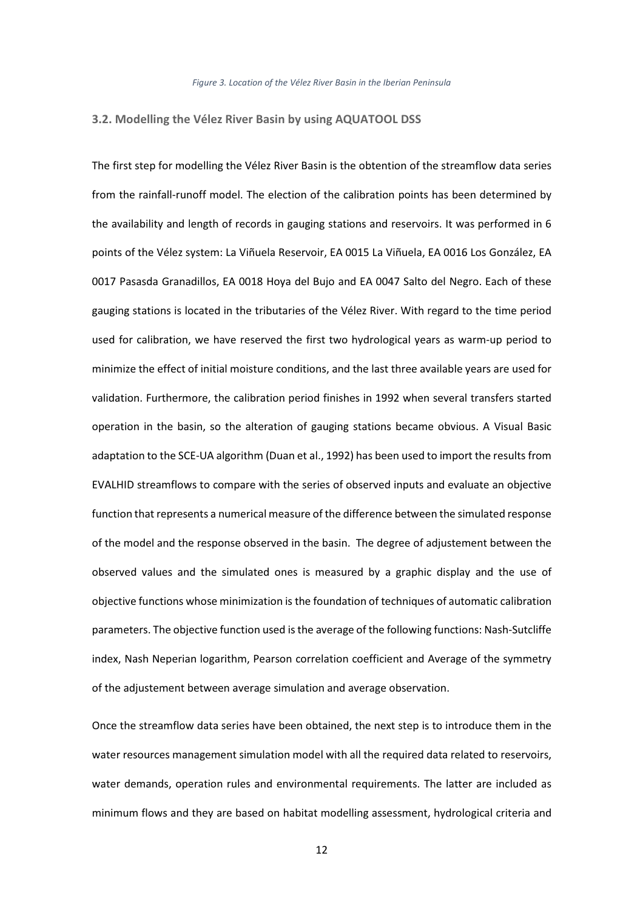## 3.2. Modelling the Vélez River Basin by using AQUATOOL DSS

The first step for modelling the Vélez River Basin is the obtention of the streamflow data series from the rainfall-runoff model. The election of the calibration points has been determined by the availability and length of records in gauging stations and reservoirs. It was performed in 6 points of the Vélez system: La Viñuela Reservoir, EA 0015 La Viñuela, EA 0016 Los González, EA 0017 Pasasda Granadillos, EA 0018 Hoya del Bujo and EA 0047 Salto del Negro. Each of these gauging stations is located in the tributaries of the Vélez River. With regard to the time period used for calibration, we have reserved the first two hydrological years as warm-up period to minimize the effect of initial moisture conditions, and the last three available years are used for validation. Furthermore, the calibration period finishes in 1992 when several transfers started operation in the basin, so the alteration of gauging stations became obvious. A Visual Basic adaptation to the SCE-UA algorithm (Duan et al., 1992) has been used to import the results from EVALHID streamflows to compare with the series of observed inputs and evaluate an objective function that represents a numerical measure of the difference between the simulated response of the model and the response observed in the basin. The degree of adjustement between the observed values and the simulated ones is measured by a graphic display and the use of objective functions whose minimization is the foundation of techniques of automatic calibration parameters. The objective function used is the average of the following functions: Nash-Sutcliffe index, Nash Neperian logarithm, Pearson correlation coefficient and Average of the symmetry of the adjustement between average simulation and average observation.

Once the streamflow data series have been obtained, the next step is to introduce them in the water resources management simulation model with all the required data related to reservoirs, water demands, operation rules and environmental requirements. The latter are included as minimum flows and they are based on habitat modelling assessment, hydrological criteria and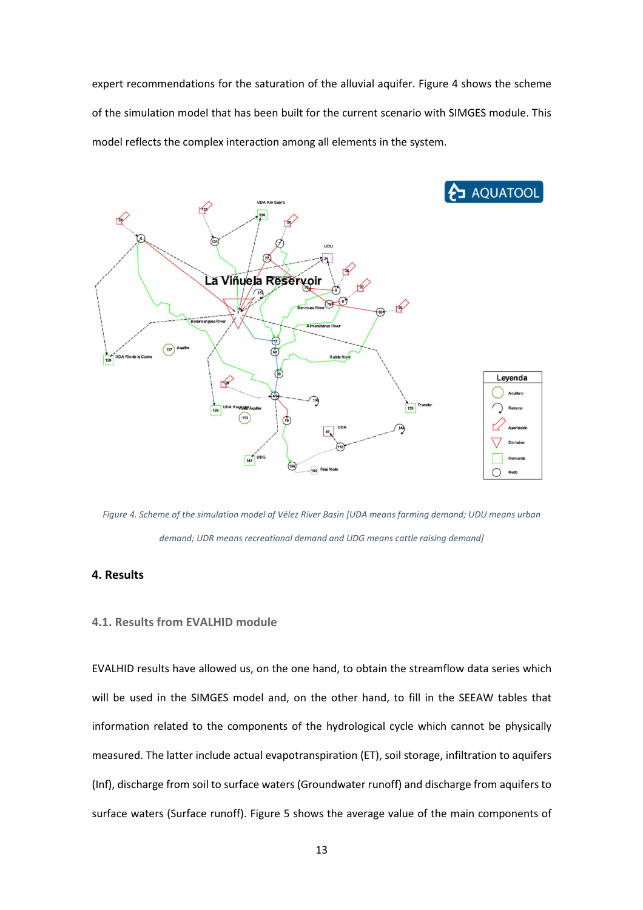expert recommendations for the saturation of the alluvial aquifer. Figure 4 shows the scheme of the simulation model that has been built for the current scenario with SIMGES module. This model reflects the complex interaction among all elements in the system.



Figure 4. Scheme of the simulation model of Vélez River Basin [UDA means farming demand; UDU means urban demand; UDR means recreational demand and UDG means cattle raising demand]

# 4. Results

# 4.1. Results from EVALHID module

EVALHID results have allowed us, on the one hand, to obtain the streamflow data series which will be used in the SIMGES model and, on the other hand, to fill in the SEEAW tables that information related to the components of the hydrological cycle which cannot be physically measured. The latter include actual evapotranspiration (ET), soil storage, infiltration to aquifers (Inf), discharge from soil to surface waters (Groundwater runoff) and discharge from aquifers to surface waters (Surface runoff). Figure 5 shows the average value of the main components of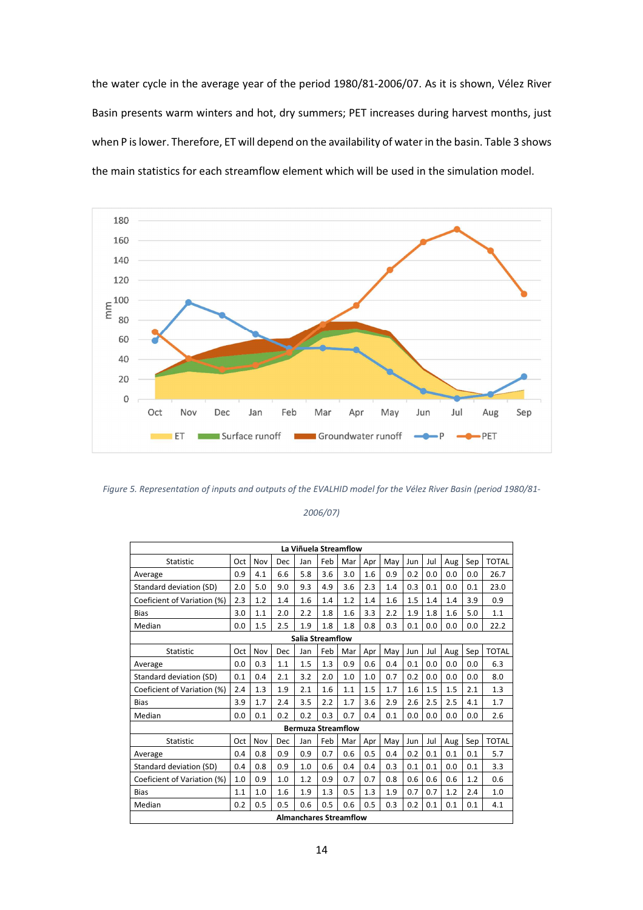the water cycle in the average year of the period 1980/81-2006/07. As it is shown, Vélez River Basin presents warm winters and hot, dry summers; PET increases during harvest months, just when P is lower. Therefore, ET will depend on the availability of water in the basin. Table 3 shows the main statistics for each streamflow element which will be used in the simulation model.



Figure 5. Representation of inputs and outputs of the EVALHID model for the Vélez River Basin (period 1980/81-

#### 2006/07)

| La Viñuela Streamflow       |     |     |     |                               |     |     |     |     |     |     |     |     |              |
|-----------------------------|-----|-----|-----|-------------------------------|-----|-----|-----|-----|-----|-----|-----|-----|--------------|
| <b>Statistic</b>            | Oct | Nov | Dec | Jan                           | Feb | Mar | Apr | May | Jun | Jul | Aug | Sep | <b>TOTAL</b> |
| Average                     | 0.9 | 4.1 | 6.6 | 5.8                           | 3.6 | 3.0 | 1.6 | 0.9 | 0.2 | 0.0 | 0.0 | 0.0 | 26.7         |
| Standard deviation (SD)     | 2.0 | 5.0 | 9.0 | 9.3                           | 4.9 | 3.6 | 2.3 | 1.4 | 0.3 | 0.1 | 0.0 | 0.1 | 23.0         |
| Coeficient of Variation (%) | 2.3 | 1.2 | 1.4 | 1.6                           | 1.4 | 1.2 | 1.4 | 1.6 | 1.5 | 1.4 | 1.4 | 3.9 | 0.9          |
| <b>Bias</b>                 | 3.0 | 1.1 | 2.0 | 2.2                           | 1.8 | 1.6 | 3.3 | 2.2 | 1.9 | 1.8 | 1.6 | 5.0 | 1.1          |
| Median                      | 0.0 | 1.5 | 2.5 | 1.9                           | 1.8 | 1.8 | 0.8 | 0.3 | 0.1 | 0.0 | 0.0 | 0.0 | 22.2         |
| <b>Salia Streamflow</b>     |     |     |     |                               |     |     |     |     |     |     |     |     |              |
| <b>Statistic</b>            | Oct | Nov | Dec | Jan                           | Feb | Mar | Apr | May | Jun | Jul | Aug | Sep | <b>TOTAL</b> |
| Average                     | 0.0 | 0.3 | 1.1 | 1.5                           | 1.3 | 0.9 | 0.6 | 0.4 | 0.1 | 0.0 | 0.0 | 0.0 | 6.3          |
| Standard deviation (SD)     | 0.1 | 0.4 | 2.1 | 3.2                           | 2.0 | 1.0 | 1.0 | 0.7 | 0.2 | 0.0 | 0.0 | 0.0 | 8.0          |
| Coeficient of Variation (%) | 2.4 | 1.3 | 1.9 | 2.1                           | 1.6 | 1.1 | 1.5 | 1.7 | 1.6 | 1.5 | 1.5 | 2.1 | 1.3          |
| Bias                        | 3.9 | 1.7 | 2.4 | 3.5                           | 2.2 | 1.7 | 3.6 | 2.9 | 2.6 | 2.5 | 2.5 | 4.1 | 1.7          |
| Median                      | 0.0 | 0.1 | 0.2 | 0.2                           | 0.3 | 0.7 | 0.4 | 0.1 | 0.0 | 0.0 | 0.0 | 0.0 | 2.6          |
|                             |     |     |     | <b>Bermuza Streamflow</b>     |     |     |     |     |     |     |     |     |              |
| Statistic                   | Oct | Nov | Dec | Jan                           | Feb | Mar | Apr | May | Jun | Jul | Aug | Sep | <b>TOTAL</b> |
| Average                     | 0.4 | 0.8 | 0.9 | 0.9                           | 0.7 | 0.6 | 0.5 | 0.4 | 0.2 | 0.1 | 0.1 | 0.1 | 5.7          |
| Standard deviation (SD)     | 0.4 | 0.8 | 0.9 | 1.0                           | 0.6 | 0.4 | 0.4 | 0.3 | 0.1 | 0.1 | 0.0 | 0.1 | 3.3          |
| Coeficient of Variation (%) | 1.0 | 0.9 | 1.0 | 1.2                           | 0.9 | 0.7 | 0.7 | 0.8 | 0.6 | 0.6 | 0.6 | 1.2 | 0.6          |
| <b>Bias</b>                 | 1.1 | 1.0 | 1.6 | 1.9                           | 1.3 | 0.5 | 1.3 | 1.9 | 0.7 | 0.7 | 1.2 | 2.4 | 1.0          |
| Median                      | 0.2 | 0.5 | 0.5 | 0.6                           | 0.5 | 0.6 | 0.5 | 0.3 | 0.2 | 0.1 | 0.1 | 0.1 | 4.1          |
|                             |     |     |     | <b>Almanchares Streamflow</b> |     |     |     |     |     |     |     |     |              |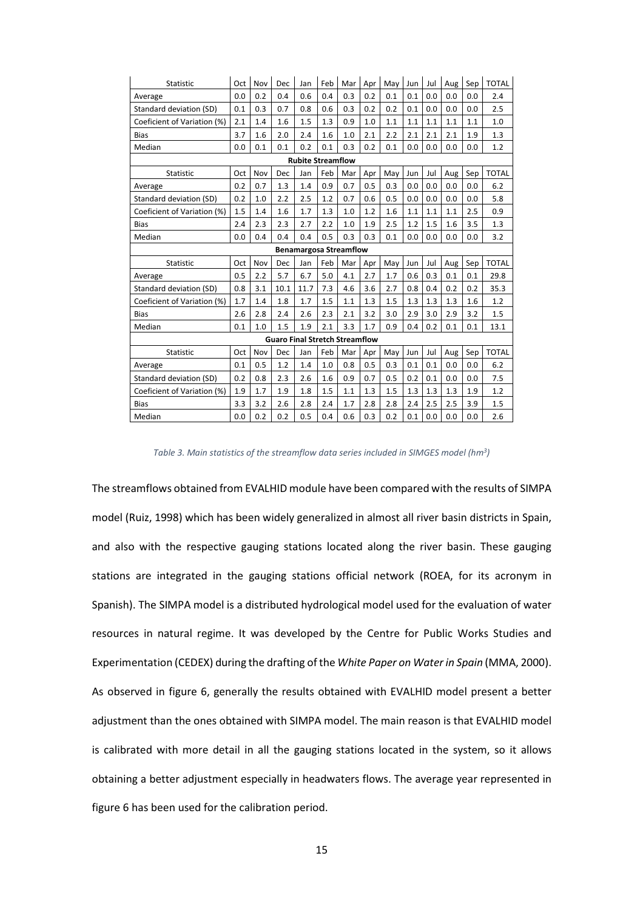| <b>Statistic</b>              | Oct | Nov | Dec                                   | Jan  | Feb | Mar | Apr | May | Jun | Jul | Aug | Sep | <b>TOTAL</b> |
|-------------------------------|-----|-----|---------------------------------------|------|-----|-----|-----|-----|-----|-----|-----|-----|--------------|
| Average                       | 0.0 | 0.2 | 0.4                                   | 0.6  | 0.4 | 0.3 | 0.2 | 0.1 | 0.1 | 0.0 | 0.0 | 0.0 | 2.4          |
| Standard deviation (SD)       | 0.1 | 0.3 | 0.7                                   | 0.8  | 0.6 | 0.3 | 0.2 | 0.2 | 0.1 | 0.0 | 0.0 | 0.0 | 2.5          |
| Coeficient of Variation (%)   | 2.1 | 1.4 | 1.6                                   | 1.5  | 1.3 | 0.9 | 1.0 | 1.1 | 1.1 | 1.1 | 1.1 | 1.1 | 1.0          |
| <b>Bias</b>                   | 3.7 | 1.6 | 2.0                                   | 2.4  | 1.6 | 1.0 | 2.1 | 2.2 | 2.1 | 2.1 | 2.1 | 1.9 | 1.3          |
| Median                        | 0.0 | 0.1 | 0.1                                   | 0.2  | 0.1 | 0.3 | 0.2 | 0.1 | 0.0 | 0.0 | 0.0 | 0.0 | 1.2          |
| <b>Rubite Streamflow</b>      |     |     |                                       |      |     |     |     |     |     |     |     |     |              |
| <b>Statistic</b>              | Oct | Nov | Dec                                   | Jan  | Feb | Mar | Apr | May | Jun | Jul | Aug | Sep | <b>TOTAL</b> |
| Average                       | 0.2 | 0.7 | 1.3                                   | 1.4  | 0.9 | 0.7 | 0.5 | 0.3 | 0.0 | 0.0 | 0.0 | 0.0 | 6.2          |
| Standard deviation (SD)       | 0.2 | 1.0 | 2.2                                   | 2.5  | 1.2 | 0.7 | 0.6 | 0.5 | 0.0 | 0.0 | 0.0 | 0.0 | 5.8          |
| Coeficient of Variation (%)   | 1.5 | 1.4 | 1.6                                   | 1.7  | 1.3 | 1.0 | 1.2 | 1.6 | 1.1 | 1.1 | 1.1 | 2.5 | 0.9          |
| <b>Bias</b>                   | 2.4 | 2.3 | 2.3                                   | 2.7  | 2.2 | 1.0 | 1.9 | 2.5 | 1.2 | 1.5 | 1.6 | 3.5 | 1.3          |
| Median                        | 0.0 | 0.4 | 0.4                                   | 0.4  | 0.5 | 0.3 | 0.3 | 0.1 | 0.0 | 0.0 | 0.0 | 0.0 | 3.2          |
| <b>Benamargosa Streamflow</b> |     |     |                                       |      |     |     |     |     |     |     |     |     |              |
| Statistic                     | Oct | Nov | Dec                                   | Jan  | Feb | Mar | Apr | May | Jun | Jul | Aug | Sep | <b>TOTAL</b> |
| Average                       | 0.5 | 2.2 | 5.7                                   | 6.7  | 5.0 | 4.1 | 2.7 | 1.7 | 0.6 | 0.3 | 0.1 | 0.1 | 29.8         |
| Standard deviation (SD)       | 0.8 | 3.1 | 10.1                                  | 11.7 | 7.3 | 4.6 | 3.6 | 2.7 | 0.8 | 0.4 | 0.2 | 0.2 | 35.3         |
| Coeficient of Variation (%)   | 1.7 | 1.4 | 1.8                                   | 1.7  | 1.5 | 1.1 | 1.3 | 1.5 | 1.3 | 1.3 | 1.3 | 1.6 | 1.2          |
| <b>Bias</b>                   | 2.6 | 2.8 | 2.4                                   | 2.6  | 2.3 | 2.1 | 3.2 | 3.0 | 2.9 | 3.0 | 2.9 | 3.2 | 1.5          |
| Median                        | 0.1 | 1.0 | 1.5                                   | 1.9  | 2.1 | 3.3 | 1.7 | 0.9 | 0.4 | 0.2 | 0.1 | 0.1 | 13.1         |
|                               |     |     | <b>Guaro Final Stretch Streamflow</b> |      |     |     |     |     |     |     |     |     |              |
| Statistic                     | Oct | Nov | Dec                                   | Jan  | Feb | Mar | Apr | May | Jun | Jul | Aug | Sep | <b>TOTAL</b> |
| Average                       | 0.1 | 0.5 | 1.2                                   | 1.4  | 1.0 | 0.8 | 0.5 | 0.3 | 0.1 | 0.1 | 0.0 | 0.0 | 6.2          |
| Standard deviation (SD)       | 0.2 | 0.8 | 2.3                                   | 2.6  | 1.6 | 0.9 | 0.7 | 0.5 | 0.2 | 0.1 | 0.0 | 0.0 | 7.5          |
| Coeficient of Variation (%)   | 1.9 | 1.7 | 1.9                                   | 1.8  | 1.5 | 1.1 | 1.3 | 1.5 | 1.3 | 1.3 | 1.3 | 1.9 | 1.2          |
| <b>Bias</b>                   | 3.3 | 3.2 | 2.6                                   | 2.8  | 2.4 | 1.7 | 2.8 | 2.8 | 2.4 | 2.5 | 2.5 | 3.9 | 1.5          |
| Median                        | 0.0 | 0.2 | 0.2                                   | 0.5  | 0.4 | 0.6 | 0.3 | 0.2 | 0.1 | 0.0 | 0.0 | 0.0 | 2.6          |

Table 3. Main statistics of the streamflow data series included in SIMGES model (hm<sup>3</sup>)

The streamflows obtained from EVALHID module have been compared with the results of SIMPA model (Ruiz, 1998) which has been widely generalized in almost all river basin districts in Spain, and also with the respective gauging stations located along the river basin. These gauging stations are integrated in the gauging stations official network (ROEA, for its acronym in Spanish). The SIMPA model is a distributed hydrological model used for the evaluation of water resources in natural regime. It was developed by the Centre for Public Works Studies and Experimentation (CEDEX) during the drafting of the White Paper on Water in Spain (MMA, 2000). As observed in figure 6, generally the results obtained with EVALHID model present a better adjustment than the ones obtained with SIMPA model. The main reason is that EVALHID model is calibrated with more detail in all the gauging stations located in the system, so it allows obtaining a better adjustment especially in headwaters flows. The average year represented in figure 6 has been used for the calibration period.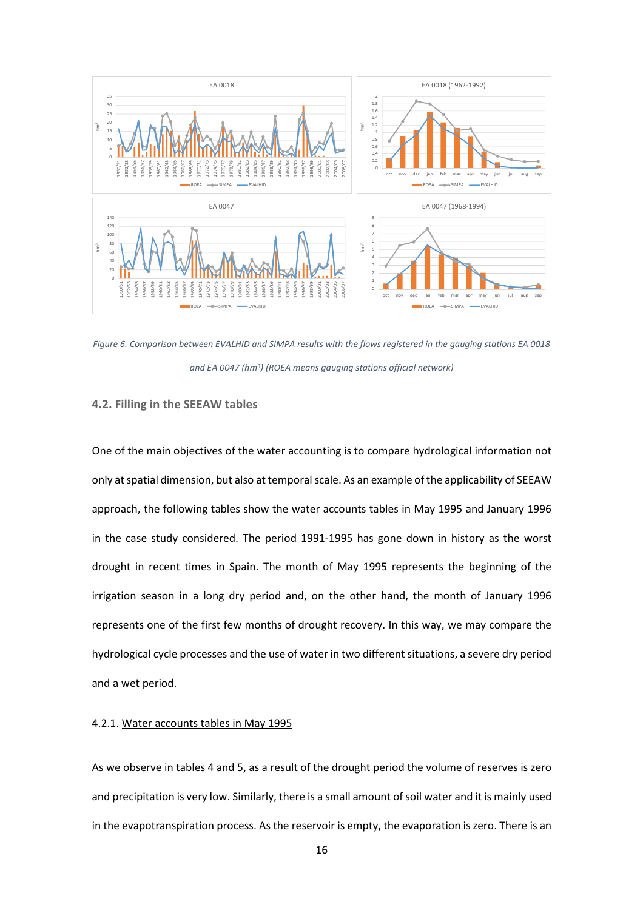

Figure 6. Comparison between EVALHID and SIMPA results with the flows registered in the gauging stations EA 0018 and EA 0047 (hm<sup>3</sup>) (ROEA means gauging stations official network)

# 4.2. Filling in the SEEAW tables

One of the main objectives of the water accounting is to compare hydrological information not only at spatial dimension, but also at temporal scale. As an example of the applicability of SEEAW approach, the following tables show the water accounts tables in May 1995 and January 1996 in the case study considered. The period 1991-1995 has gone down in history as the worst drought in recent times in Spain. The month of May 1995 represents the beginning of the irrigation season in a long dry period and, on the other hand, the month of January 1996 represents one of the first few months of drought recovery. In this way, we may compare the hydrological cycle processes and the use of water in two different situations, a severe dry period and a wet period.

## 4.2.1. Water accounts tables in May 1995

As we observe in tables 4 and 5, as a result of the drought period the volume of reserves is zero and precipitation is very low. Similarly, there is a small amount of soil water and it is mainly used in the evapotranspiration process. As the reservoir is empty, the evaporation is zero. There is an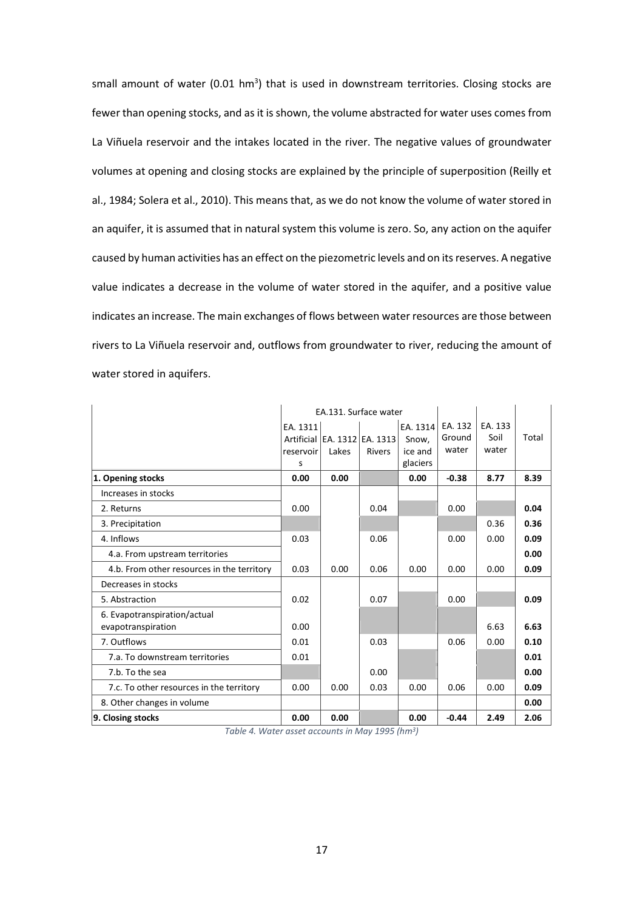small amount of water (0.01 hm<sup>3</sup>) that is used in downstream territories. Closing stocks are fewer than opening stocks, and as it is shown, the volume abstracted for water uses comes from La Viñuela reservoir and the intakes located in the river. The negative values of groundwater volumes at opening and closing stocks are explained by the principle of superposition (Reilly et al., 1984; Solera et al., 2010). This means that, as we do not know the volume of water stored in an aquifer, it is assumed that in natural system this volume is zero. So, any action on the aquifer caused by human activities has an effect on the piezometric levels and on its reserves. A negative value indicates a decrease in the volume of water stored in the aquifer, and a positive value indicates an increase. The main exchanges of flows between water resources are those between rivers to La Viñuela reservoir and, outflows from groundwater to river, reducing the amount of water stored in aquifers.

|                                            |           | EA.131. Surface water        |               |          |         |         |       |
|--------------------------------------------|-----------|------------------------------|---------------|----------|---------|---------|-------|
|                                            | EA. 1311  |                              |               | EA. 1314 | EA. 132 | EA. 133 |       |
|                                            |           | Artificial EA. 1312 EA. 1313 |               | Snow,    | Ground  | Soil    | Total |
|                                            | reservoir | Lakes                        | <b>Rivers</b> | ice and  | water   | water   |       |
|                                            | S         |                              |               | glaciers |         |         |       |
| 1. Opening stocks                          | 0.00      | 0.00                         |               | 0.00     | $-0.38$ | 8.77    | 8.39  |
| Increases in stocks                        |           |                              |               |          |         |         |       |
| 2. Returns                                 | 0.00      |                              | 0.04          |          | 0.00    |         | 0.04  |
| 3. Precipitation                           |           |                              |               |          |         | 0.36    | 0.36  |
| 4. Inflows                                 | 0.03      |                              | 0.06          |          | 0.00    | 0.00    | 0.09  |
| 4.a. From upstream territories             |           |                              |               |          |         |         | 0.00  |
| 4.b. From other resources in the territory | 0.03      | 0.00                         | 0.06          | 0.00     | 0.00    | 0.00    | 0.09  |
| Decreases in stocks                        |           |                              |               |          |         |         |       |
| 5. Abstraction                             | 0.02      |                              | 0.07          |          | 0.00    |         | 0.09  |
| 6. Evapotranspiration/actual               |           |                              |               |          |         |         |       |
| evapotranspiration                         | 0.00      |                              |               |          |         | 6.63    | 6.63  |
| 7. Outflows                                | 0.01      |                              | 0.03          |          | 0.06    | 0.00    | 0.10  |
| 7.a. To downstream territories             | 0.01      |                              |               |          |         |         | 0.01  |
| 7.b. To the sea                            |           |                              | 0.00          |          |         |         | 0.00  |
| 7.c. To other resources in the territory   | 0.00      | 0.00                         | 0.03          | 0.00     | 0.06    | 0.00    | 0.09  |
| 8. Other changes in volume                 |           |                              |               |          |         |         | 0.00  |
| 9. Closing stocks                          | 0.00      | 0.00                         |               | 0.00     | $-0.44$ | 2.49    | 2.06  |

Table 4. Water asset accounts in May 1995 (hm<sup>3</sup>)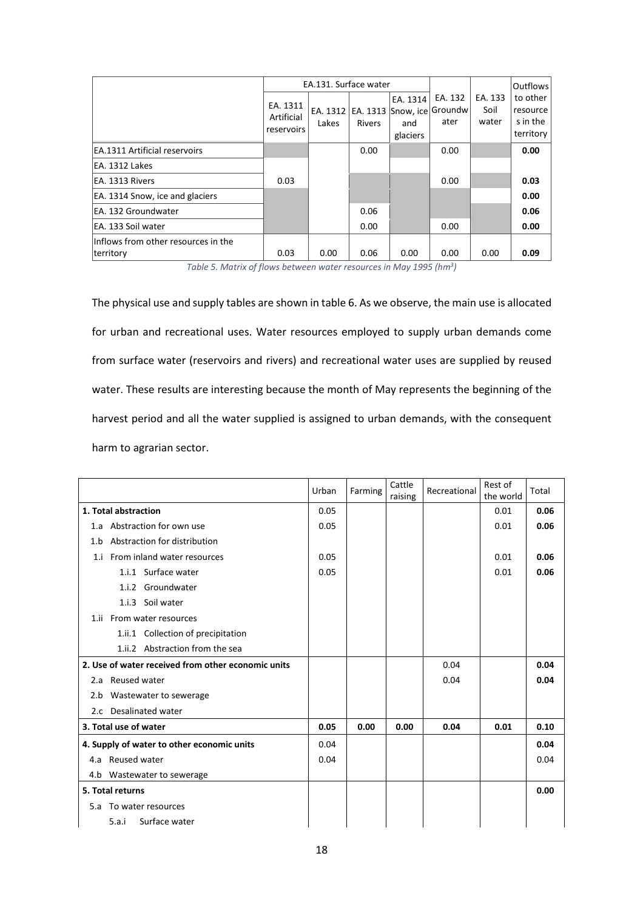|                                                  |                                      |                   | EA.131. Surface water |                                                           |                 |                          | Outflows                                      |
|--------------------------------------------------|--------------------------------------|-------------------|-----------------------|-----------------------------------------------------------|-----------------|--------------------------|-----------------------------------------------|
|                                                  | EA. 1311<br>Artificial<br>reservoirs | EA. 1312<br>Lakes | <b>Rivers</b>         | EA. 1314<br>EA. 1313 Snow, ice Groundw<br>and<br>glaciers | EA. 132<br>ater | EA. 133<br>Soil<br>water | to other<br>resource<br>s in the<br>territory |
| <b>EA.1311 Artificial reservoirs</b>             |                                      |                   | 0.00                  |                                                           | 0.00            |                          | 0.00                                          |
| EA. 1312 Lakes                                   |                                      |                   |                       |                                                           |                 |                          |                                               |
| EA. 1313 Rivers                                  | 0.03                                 |                   |                       |                                                           | 0.00            |                          | 0.03                                          |
| EA. 1314 Snow, ice and glaciers                  |                                      |                   |                       |                                                           |                 |                          | 0.00                                          |
| EA. 132 Groundwater                              |                                      |                   | 0.06                  |                                                           |                 |                          | 0.06                                          |
| EA. 133 Soil water                               |                                      |                   | 0.00                  |                                                           | 0.00            |                          | 0.00                                          |
| Inflows from other resources in the<br>territory | 0.03                                 | 0.00              | 0.06                  | 0.00                                                      | 0.00            | 0.00                     | 0.09                                          |

Table 5. Matrix of flows between water resources in May 1995 (hm<sup>3</sup>)

The physical use and supply tables are shown in table 6. As we observe, the main use is allocated for urban and recreational uses. Water resources employed to supply urban demands come from surface water (reservoirs and rivers) and recreational water uses are supplied by reused water. These results are interesting because the month of May represents the beginning of the harvest period and all the water supplied is assigned to urban demands, with the consequent harm to agrarian sector.

|                                                    | Urban | Farming | Cattle<br>raising | Recreational | Rest of<br>the world | Total |
|----------------------------------------------------|-------|---------|-------------------|--------------|----------------------|-------|
| 1. Total abstraction                               | 0.05  |         |                   |              | 0.01                 | 0.06  |
| Abstraction for own use<br>1.a                     | 0.05  |         |                   |              | 0.01                 | 0.06  |
| Abstraction for distribution<br>1.b                |       |         |                   |              |                      |       |
| 1.i From inland water resources                    | 0.05  |         |                   |              | 0.01                 | 0.06  |
| 1.i.1 Surface water                                | 0.05  |         |                   |              | 0.01                 | 0.06  |
| 1.i.2 Groundwater                                  |       |         |                   |              |                      |       |
| 1.i.3 Soil water                                   |       |         |                   |              |                      |       |
| 1.ii From water resources                          |       |         |                   |              |                      |       |
| 1.ii.1 Collection of precipitation                 |       |         |                   |              |                      |       |
| 1.ii.2 Abstraction from the sea                    |       |         |                   |              |                      |       |
| 2. Use of water received from other economic units |       |         |                   | 0.04         |                      | 0.04  |
| 2.a Reused water                                   |       |         |                   | 0.04         |                      | 0.04  |
| 2.b Wastewater to sewerage                         |       |         |                   |              |                      |       |
| 2.c Desalinated water                              |       |         |                   |              |                      |       |
| 3. Total use of water                              | 0.05  | 0.00    | 0.00              | 0.04         | 0.01                 | 0.10  |
| 4. Supply of water to other economic units         | 0.04  |         |                   |              |                      | 0.04  |
| 4.a Reused water                                   | 0.04  |         |                   |              |                      | 0.04  |
| 4.b Wastewater to sewerage                         |       |         |                   |              |                      |       |
| 5. Total returns                                   |       |         |                   |              |                      | 0.00  |
| To water resources<br>5.a                          |       |         |                   |              |                      |       |
| Surface water<br>5.a.i                             |       |         |                   |              |                      |       |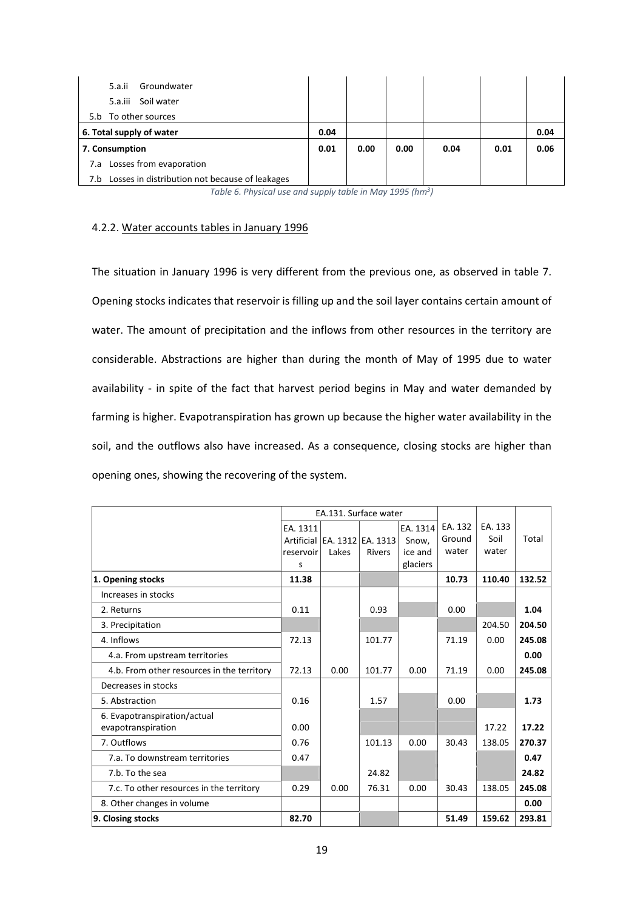| Groundwater<br>5.a.ii<br>Soil water<br>5.a.iii     |      |      |      |      |      |      |
|----------------------------------------------------|------|------|------|------|------|------|
| 5.b To other sources                               |      |      |      |      |      |      |
| 6. Total supply of water                           | 0.04 |      |      |      |      | 0.04 |
| 7. Consumption                                     | 0.01 | 0.00 | 0.00 | 0.04 | 0.01 | 0.06 |
| 7.a Losses from evaporation                        |      |      |      |      |      |      |
| 7.b Losses in distribution not because of leakages |      |      |      |      |      |      |

Table 6. Physical use and supply table in May 1995 (hm<sup>3</sup>)

# 4.2.2. Water accounts tables in January 1996

The situation in January 1996 is very different from the previous one, as observed in table 7. Opening stocks indicates that reservoir is filling up and the soil layer contains certain amount of water. The amount of precipitation and the inflows from other resources in the territory are considerable. Abstractions are higher than during the month of May of 1995 due to water availability - in spite of the fact that harvest period begins in May and water demanded by farming is higher. Evapotranspiration has grown up because the higher water availability in the soil, and the outflows also have increased. As a consequence, closing stocks are higher than opening ones, showing the recovering of the system.

|                                            |           | EA.131. Surface water            |               |          |         |         |        |
|--------------------------------------------|-----------|----------------------------------|---------------|----------|---------|---------|--------|
|                                            | EA. 1311  |                                  |               | EA. 1314 | EA. 132 | EA. 133 |        |
|                                            |           | Artificial   EA. 1312   EA. 1313 |               | Snow.    | Ground  | Soil    | Total  |
|                                            | reservoir | Lakes                            | <b>Rivers</b> | ice and  | water   | water   |        |
|                                            | S         |                                  |               | glaciers |         |         |        |
| 1. Opening stocks                          | 11.38     |                                  |               |          | 10.73   | 110.40  | 132.52 |
| Increases in stocks                        |           |                                  |               |          |         |         |        |
| 2. Returns                                 | 0.11      |                                  | 0.93          |          | 0.00    |         | 1.04   |
| 3. Precipitation                           |           |                                  |               |          |         | 204.50  | 204.50 |
| 4. Inflows                                 | 72.13     |                                  | 101.77        |          | 71.19   | 0.00    | 245.08 |
| 4.a. From upstream territories             |           |                                  |               |          |         |         | 0.00   |
| 4.b. From other resources in the territory | 72.13     | 0.00                             | 101.77        | 0.00     | 71.19   | 0.00    | 245.08 |
| Decreases in stocks                        |           |                                  |               |          |         |         |        |
| 5. Abstraction                             | 0.16      |                                  | 1.57          |          | 0.00    |         | 1.73   |
| 6. Evapotranspiration/actual               |           |                                  |               |          |         |         |        |
| evapotranspiration                         | 0.00      |                                  |               |          |         | 17.22   | 17.22  |
| 7. Outflows                                | 0.76      |                                  | 101.13        | 0.00     | 30.43   | 138.05  | 270.37 |
| 7.a. To downstream territories             | 0.47      |                                  |               |          |         |         | 0.47   |
| 7.b. To the sea                            |           |                                  | 24.82         |          |         |         | 24.82  |
| 7.c. To other resources in the territory   | 0.29      | 0.00                             | 76.31         | 0.00     | 30.43   | 138.05  | 245.08 |
| 8. Other changes in volume                 |           |                                  |               |          |         |         | 0.00   |
| 9. Closing stocks                          | 82.70     |                                  |               |          | 51.49   | 159.62  | 293.81 |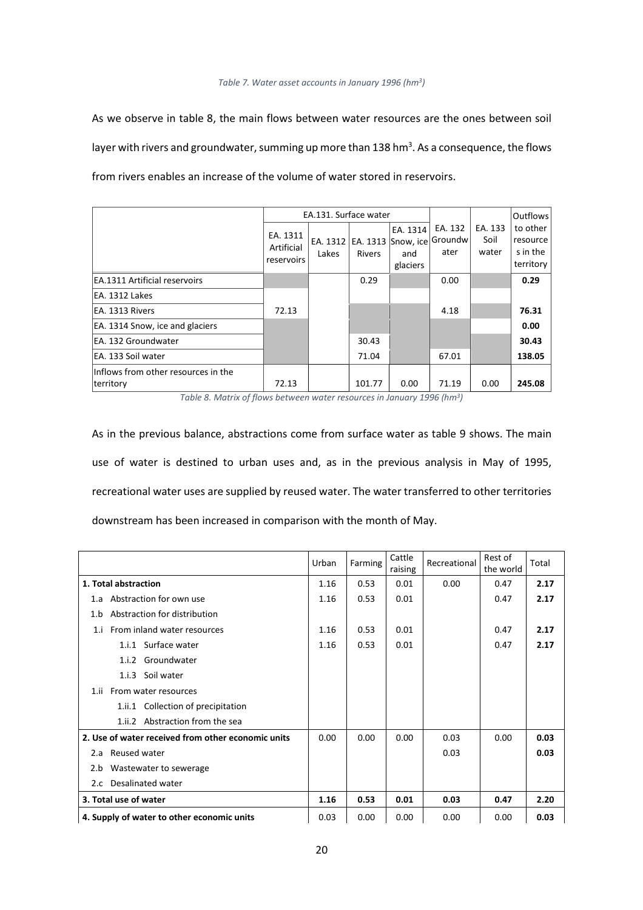#### Table 7. Water asset accounts in January 1996 (hm<sup>3</sup>)

As we observe in table 8, the main flows between water resources are the ones between soil layer with rivers and groundwater, summing up more than 138 hm<sup>3</sup>. As a consequence, the flows from rivers enables an increase of the volume of water stored in reservoirs.

|                                                  |                                      | EA.131. Surface water |               |                                                                        |                 |                          | Outflows                                      |
|--------------------------------------------------|--------------------------------------|-----------------------|---------------|------------------------------------------------------------------------|-----------------|--------------------------|-----------------------------------------------|
|                                                  | EA. 1311<br>Artificial<br>reservoirs | Lakes                 | <b>Rivers</b> | EA. 1314<br>EA. 1312   EA. 1313   Snow, ice Groundw<br>and<br>glaciers | EA. 132<br>ater | EA. 133<br>Soil<br>water | to other<br>resource<br>s in the<br>territory |
| <b>EA.1311 Artificial reservoirs</b>             |                                      |                       | 0.29          |                                                                        | 0.00            |                          | 0.29                                          |
| EA. 1312 Lakes                                   |                                      |                       |               |                                                                        |                 |                          |                                               |
| EA. 1313 Rivers                                  | 72.13                                |                       |               |                                                                        | 4.18            |                          | 76.31                                         |
| EA. 1314 Snow, ice and glaciers                  |                                      |                       |               |                                                                        |                 |                          | 0.00                                          |
| EA. 132 Groundwater                              |                                      |                       | 30.43         |                                                                        |                 |                          | 30.43                                         |
| EA. 133 Soil water                               |                                      |                       | 71.04         |                                                                        | 67.01           |                          | 138.05                                        |
| Inflows from other resources in the<br>territory | 72.13                                |                       | 101.77        | 0.00                                                                   | 71.19           | 0.00                     | 245.08                                        |

Table 8. Matrix of flows between water resources in January 1996 (hm<sup>3</sup> )

As in the previous balance, abstractions come from surface water as table 9 shows. The main use of water is destined to urban uses and, as in the previous analysis in May of 1995, recreational water uses are supplied by reused water. The water transferred to other territories downstream has been increased in comparison with the month of May.

|      |                                                    | Urban | Farming | Cattle<br>raising | Recreational | Rest of<br>the world | Total |
|------|----------------------------------------------------|-------|---------|-------------------|--------------|----------------------|-------|
|      | 1. Total abstraction                               | 1.16  | 0.53    | 0.01              | 0.00         | 0.47                 | 2.17  |
| 1.a  | Abstraction for own use                            | 1.16  | 0.53    | 0.01              |              | 0.47                 | 2.17  |
| 1.b  | Abstraction for distribution                       |       |         |                   |              |                      |       |
| 1.i  | From inland water resources                        | 1.16  | 0.53    | 0.01              |              | 0.47                 | 2.17  |
|      | 1.i.1 Surface water                                | 1.16  | 0.53    | 0.01              |              | 0.47                 | 2.17  |
|      | Groundwater<br>1.i.2                               |       |         |                   |              |                      |       |
|      | 1.i.3 Soil water                                   |       |         |                   |              |                      |       |
| 1.ii | From water resources                               |       |         |                   |              |                      |       |
|      | 1.ii.1 Collection of precipitation                 |       |         |                   |              |                      |       |
|      | Abstraction from the sea<br>1.ii.2                 |       |         |                   |              |                      |       |
|      | 2. Use of water received from other economic units | 0.00  | 0.00    | 0.00              | 0.03         | 0.00                 | 0.03  |
| 2.a  | Reused water                                       |       |         |                   | 0.03         |                      | 0.03  |
| 2.b  | Wastewater to sewerage                             |       |         |                   |              |                      |       |
|      | 2.c Desalinated water                              |       |         |                   |              |                      |       |
|      | 3. Total use of water                              | 1.16  | 0.53    | 0.01              | 0.03         | 0.47                 | 2.20  |
|      | 4. Supply of water to other economic units         | 0.03  | 0.00    | 0.00              | 0.00         | 0.00                 | 0.03  |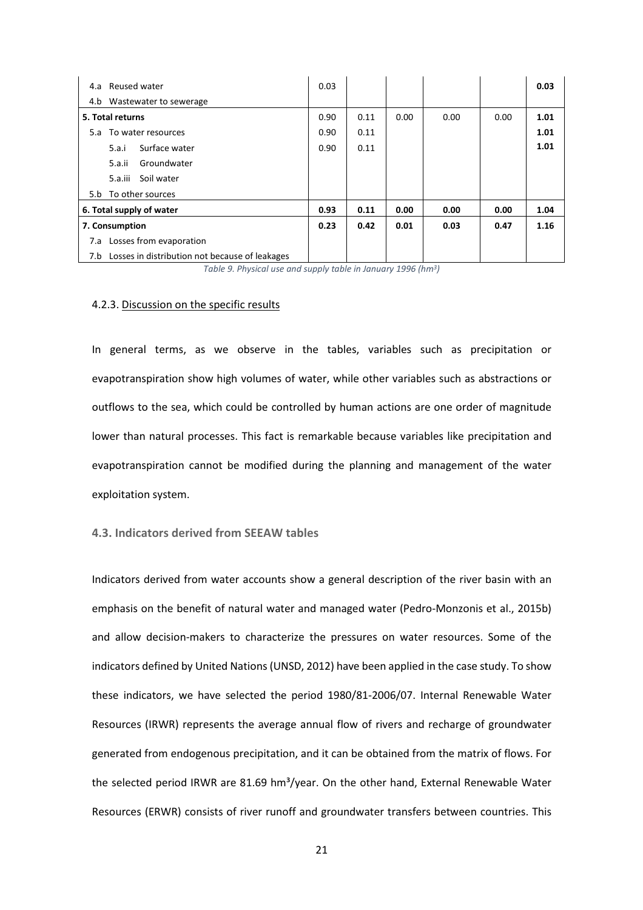| 4.a Reused water                                   | 0.03 |      |      |      |      | 0.03 |
|----------------------------------------------------|------|------|------|------|------|------|
| 4.b Wastewater to sewerage                         |      |      |      |      |      |      |
| 5. Total returns                                   | 0.90 | 0.11 | 0.00 | 0.00 | 0.00 | 1.01 |
| 5.a To water resources                             | 0.90 | 0.11 |      |      |      | 1.01 |
| 5.a.i<br>Surface water                             | 0.90 | 0.11 |      |      |      | 1.01 |
| Groundwater<br>5.a.ii                              |      |      |      |      |      |      |
| Soil water<br>5.a.iii                              |      |      |      |      |      |      |
| 5.b To other sources                               |      |      |      |      |      |      |
| 6. Total supply of water                           | 0.93 | 0.11 | 0.00 | 0.00 | 0.00 | 1.04 |
| 7. Consumption                                     | 0.23 | 0.42 | 0.01 | 0.03 | 0.47 | 1.16 |
| 7.a Losses from evaporation                        |      |      |      |      |      |      |
| 7.b Losses in distribution not because of leakages |      |      |      |      |      |      |

Table 9. Physical use and supply table in January 1996 (hm<sup>3</sup>)

# 4.2.3. Discussion on the specific results

In general terms, as we observe in the tables, variables such as precipitation or evapotranspiration show high volumes of water, while other variables such as abstractions or outflows to the sea, which could be controlled by human actions are one order of magnitude lower than natural processes. This fact is remarkable because variables like precipitation and evapotranspiration cannot be modified during the planning and management of the water exploitation system.

# 4.3. Indicators derived from SEEAW tables

Indicators derived from water accounts show a general description of the river basin with an emphasis on the benefit of natural water and managed water (Pedro-Monzonis et al., 2015b) and allow decision-makers to characterize the pressures on water resources. Some of the indicators defined by United Nations (UNSD, 2012) have been applied in the case study. To show these indicators, we have selected the period 1980/81-2006/07. Internal Renewable Water Resources (IRWR) represents the average annual flow of rivers and recharge of groundwater generated from endogenous precipitation, and it can be obtained from the matrix of flows. For the selected period IRWR are 81.69 hm<sup>3</sup>/year. On the other hand, External Renewable Water Resources (ERWR) consists of river runoff and groundwater transfers between countries. This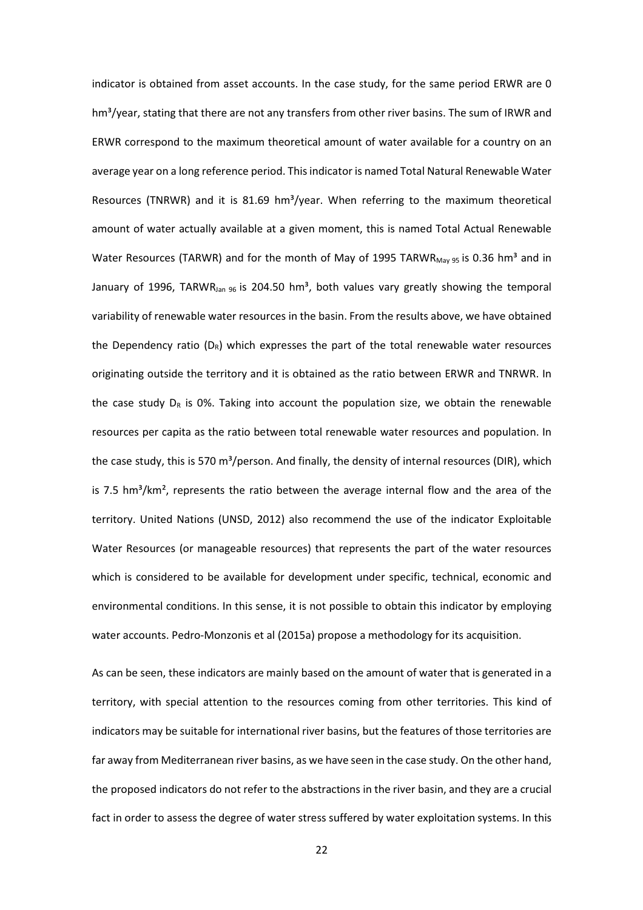indicator is obtained from asset accounts. In the case study, for the same period ERWR are 0  $hm<sup>3</sup>/year$ , stating that there are not any transfers from other river basins. The sum of IRWR and ERWR correspond to the maximum theoretical amount of water available for a country on an average year on a long reference period. This indicator is named Total Natural Renewable Water Resources (TNRWR) and it is 81.69 hm<sup>3</sup>/year. When referring to the maximum theoretical amount of water actually available at a given moment, this is named Total Actual Renewable Water Resources (TARWR) and for the month of May of 1995 TARWR $_{\text{May 95}}$  is 0.36 hm<sup>3</sup> and in January of 1996, TARWR<sub>Jan 96</sub> is 204.50 hm<sup>3</sup>, both values vary greatly showing the temporal variability of renewable water resources in the basin. From the results above, we have obtained the Dependency ratio  $(D_R)$  which expresses the part of the total renewable water resources originating outside the territory and it is obtained as the ratio between ERWR and TNRWR. In the case study  $D_R$  is 0%. Taking into account the population size, we obtain the renewable resources per capita as the ratio between total renewable water resources and population. In the case study, this is 570 m<sup>3</sup>/person. And finally, the density of internal resources (DIR), which is 7.5  $\text{hm}^3/\text{km}^2$ , represents the ratio between the average internal flow and the area of the territory. United Nations (UNSD, 2012) also recommend the use of the indicator Exploitable Water Resources (or manageable resources) that represents the part of the water resources which is considered to be available for development under specific, technical, economic and environmental conditions. In this sense, it is not possible to obtain this indicator by employing water accounts. Pedro-Monzonis et al (2015a) propose a methodology for its acquisition.

As can be seen, these indicators are mainly based on the amount of water that is generated in a territory, with special attention to the resources coming from other territories. This kind of indicators may be suitable for international river basins, but the features of those territories are far away from Mediterranean river basins, as we have seen in the case study. On the other hand, the proposed indicators do not refer to the abstractions in the river basin, and they are a crucial fact in order to assess the degree of water stress suffered by water exploitation systems. In this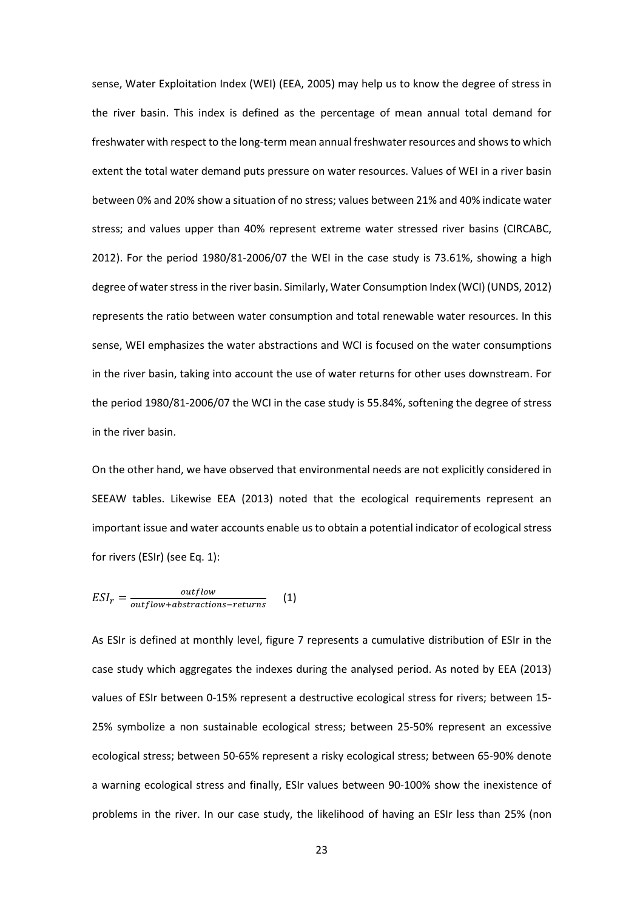sense, Water Exploitation Index (WEI) (EEA, 2005) may help us to know the degree of stress in the river basin. This index is defined as the percentage of mean annual total demand for freshwater with respect to the long-term mean annual freshwater resources and shows to which extent the total water demand puts pressure on water resources. Values of WEI in a river basin between 0% and 20% show a situation of no stress; values between 21% and 40% indicate water stress; and values upper than 40% represent extreme water stressed river basins (CIRCABC, 2012). For the period 1980/81-2006/07 the WEI in the case study is 73.61%, showing a high degree of water stress in the river basin. Similarly, Water Consumption Index (WCI) (UNDS, 2012) represents the ratio between water consumption and total renewable water resources. In this sense, WEI emphasizes the water abstractions and WCI is focused on the water consumptions in the river basin, taking into account the use of water returns for other uses downstream. For the period 1980/81-2006/07 the WCI in the case study is 55.84%, softening the degree of stress in the river basin.

On the other hand, we have observed that environmental needs are not explicitly considered in SEEAW tables. Likewise EEA (2013) noted that the ecological requirements represent an important issue and water accounts enable us to obtain a potential indicator of ecological stress for rivers (ESIr) (see Eq. 1):

$$
ESI_r = \frac{outflow}{outflow + abstractions - returns} \tag{1}
$$

As ESIr is defined at monthly level, figure 7 represents a cumulative distribution of ESIr in the case study which aggregates the indexes during the analysed period. As noted by EEA (2013) values of ESIr between 0-15% represent a destructive ecological stress for rivers; between 15- 25% symbolize a non sustainable ecological stress; between 25-50% represent an excessive ecological stress; between 50-65% represent a risky ecological stress; between 65-90% denote a warning ecological stress and finally, ESIr values between 90-100% show the inexistence of problems in the river. In our case study, the likelihood of having an ESIr less than 25% (non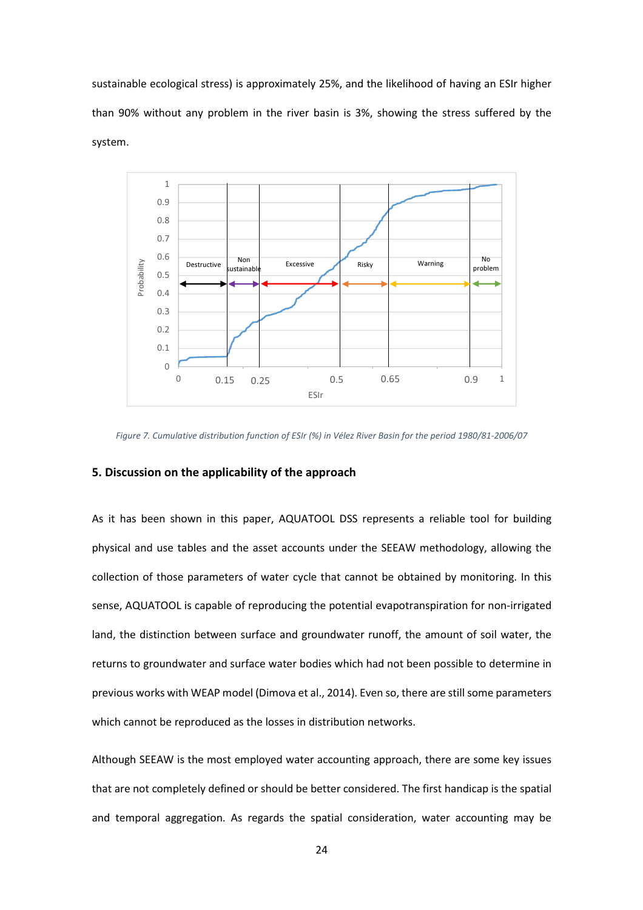sustainable ecological stress) is approximately 25%, and the likelihood of having an ESIr higher than 90% without any problem in the river basin is 3%, showing the stress suffered by the system.



Figure 7. Cumulative distribution function of ESIr (%) in Vélez River Basin for the period 1980/81-2006/07

# 5. Discussion on the applicability of the approach

As it has been shown in this paper, AQUATOOL DSS represents a reliable tool for building physical and use tables and the asset accounts under the SEEAW methodology, allowing the collection of those parameters of water cycle that cannot be obtained by monitoring. In this sense, AQUATOOL is capable of reproducing the potential evapotranspiration for non-irrigated land, the distinction between surface and groundwater runoff, the amount of soil water, the returns to groundwater and surface water bodies which had not been possible to determine in previous works with WEAP model (Dimova et al., 2014). Even so, there are still some parameters which cannot be reproduced as the losses in distribution networks.

Although SEEAW is the most employed water accounting approach, there are some key issues that are not completely defined or should be better considered. The first handicap is the spatial and temporal aggregation. As regards the spatial consideration, water accounting may be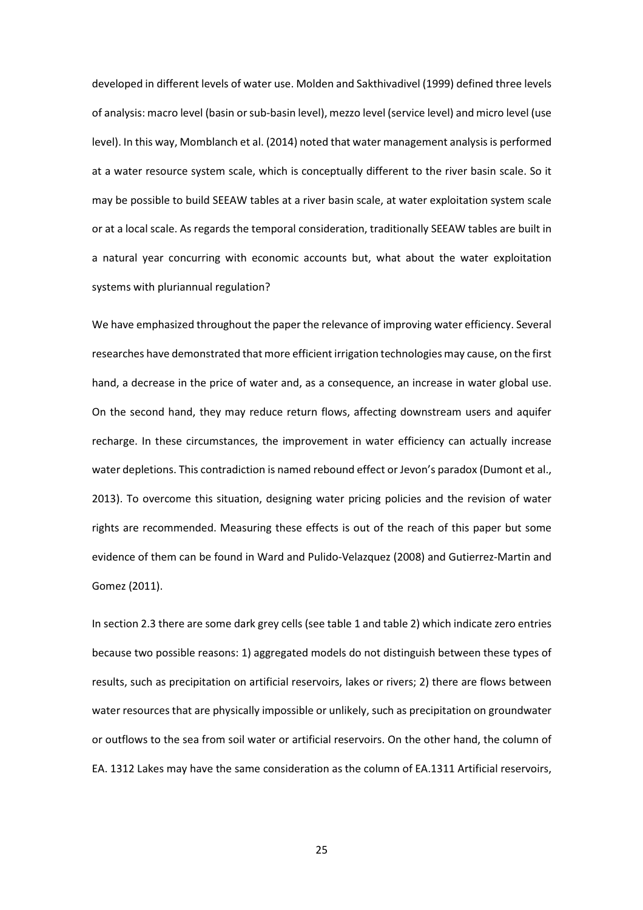developed in different levels of water use. Molden and Sakthivadivel (1999) defined three levels of analysis: macro level (basin or sub-basin level), mezzo level (service level) and micro level (use level). In this way, Momblanch et al. (2014) noted that water management analysis is performed at a water resource system scale, which is conceptually different to the river basin scale. So it may be possible to build SEEAW tables at a river basin scale, at water exploitation system scale or at a local scale. As regards the temporal consideration, traditionally SEEAW tables are built in a natural year concurring with economic accounts but, what about the water exploitation systems with pluriannual regulation?

We have emphasized throughout the paper the relevance of improving water efficiency. Several researches have demonstrated that more efficient irrigation technologies may cause, on the first hand, a decrease in the price of water and, as a consequence, an increase in water global use. On the second hand, they may reduce return flows, affecting downstream users and aquifer recharge. In these circumstances, the improvement in water efficiency can actually increase water depletions. This contradiction is named rebound effect or Jevon's paradox (Dumont et al., 2013). To overcome this situation, designing water pricing policies and the revision of water rights are recommended. Measuring these effects is out of the reach of this paper but some evidence of them can be found in Ward and Pulido-Velazquez (2008) and Gutierrez-Martin and Gomez (2011).

In section 2.3 there are some dark grey cells (see table 1 and table 2) which indicate zero entries because two possible reasons: 1) aggregated models do not distinguish between these types of results, such as precipitation on artificial reservoirs, lakes or rivers; 2) there are flows between water resources that are physically impossible or unlikely, such as precipitation on groundwater or outflows to the sea from soil water or artificial reservoirs. On the other hand, the column of EA. 1312 Lakes may have the same consideration as the column of EA.1311 Artificial reservoirs,

25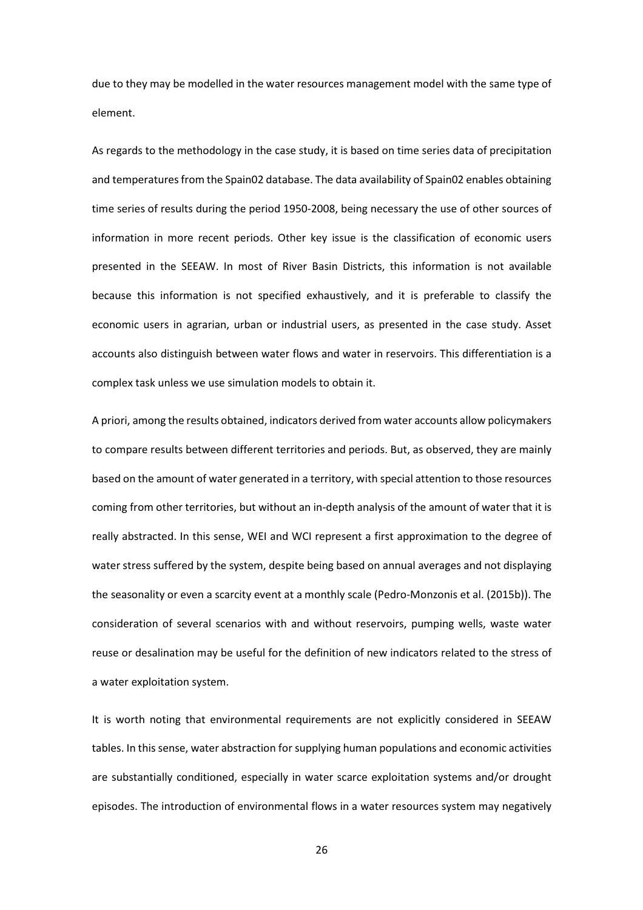due to they may be modelled in the water resources management model with the same type of element.

As regards to the methodology in the case study, it is based on time series data of precipitation and temperatures from the Spain02 database. The data availability of Spain02 enables obtaining time series of results during the period 1950-2008, being necessary the use of other sources of information in more recent periods. Other key issue is the classification of economic users presented in the SEEAW. In most of River Basin Districts, this information is not available because this information is not specified exhaustively, and it is preferable to classify the economic users in agrarian, urban or industrial users, as presented in the case study. Asset accounts also distinguish between water flows and water in reservoirs. This differentiation is a complex task unless we use simulation models to obtain it.

A priori, among the results obtained, indicators derived from water accounts allow policymakers to compare results between different territories and periods. But, as observed, they are mainly based on the amount of water generated in a territory, with special attention to those resources coming from other territories, but without an in-depth analysis of the amount of water that it is really abstracted. In this sense, WEI and WCI represent a first approximation to the degree of water stress suffered by the system, despite being based on annual averages and not displaying the seasonality or even a scarcity event at a monthly scale (Pedro-Monzonis et al. (2015b)). The consideration of several scenarios with and without reservoirs, pumping wells, waste water reuse or desalination may be useful for the definition of new indicators related to the stress of a water exploitation system.

It is worth noting that environmental requirements are not explicitly considered in SEEAW tables. In this sense, water abstraction for supplying human populations and economic activities are substantially conditioned, especially in water scarce exploitation systems and/or drought episodes. The introduction of environmental flows in a water resources system may negatively

26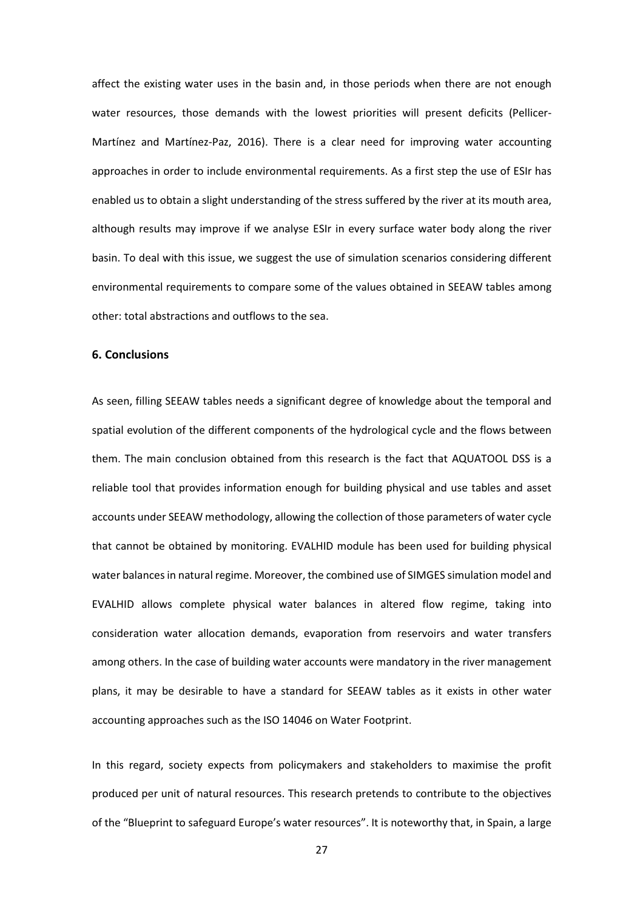affect the existing water uses in the basin and, in those periods when there are not enough water resources, those demands with the lowest priorities will present deficits (Pellicer-Martínez and Martínez-Paz, 2016). There is a clear need for improving water accounting approaches in order to include environmental requirements. As a first step the use of ESIr has enabled us to obtain a slight understanding of the stress suffered by the river at its mouth area, although results may improve if we analyse ESIr in every surface water body along the river basin. To deal with this issue, we suggest the use of simulation scenarios considering different environmental requirements to compare some of the values obtained in SEEAW tables among other: total abstractions and outflows to the sea.

### 6. Conclusions

As seen, filling SEEAW tables needs a significant degree of knowledge about the temporal and spatial evolution of the different components of the hydrological cycle and the flows between them. The main conclusion obtained from this research is the fact that AQUATOOL DSS is a reliable tool that provides information enough for building physical and use tables and asset accounts under SEEAW methodology, allowing the collection of those parameters of water cycle that cannot be obtained by monitoring. EVALHID module has been used for building physical water balances in natural regime. Moreover, the combined use of SIMGES simulation model and EVALHID allows complete physical water balances in altered flow regime, taking into consideration water allocation demands, evaporation from reservoirs and water transfers among others. In the case of building water accounts were mandatory in the river management plans, it may be desirable to have a standard for SEEAW tables as it exists in other water accounting approaches such as the ISO 14046 on Water Footprint.

In this regard, society expects from policymakers and stakeholders to maximise the profit produced per unit of natural resources. This research pretends to contribute to the objectives of the "Blueprint to safeguard Europe's water resources". It is noteworthy that, in Spain, a large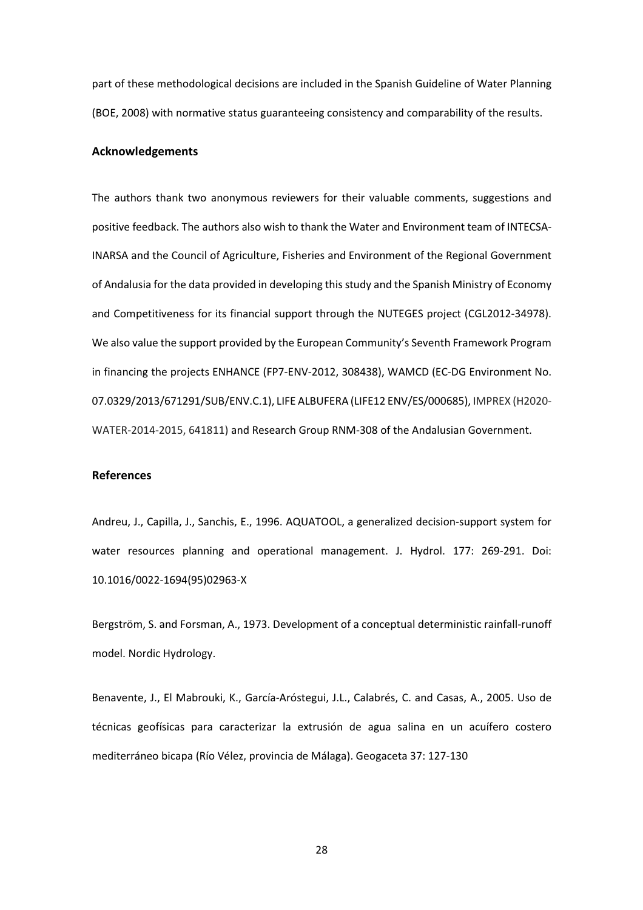part of these methodological decisions are included in the Spanish Guideline of Water Planning (BOE, 2008) with normative status guaranteeing consistency and comparability of the results.

## Acknowledgements

The authors thank two anonymous reviewers for their valuable comments, suggestions and positive feedback. The authors also wish to thank the Water and Environment team of INTECSA-INARSA and the Council of Agriculture, Fisheries and Environment of the Regional Government of Andalusia for the data provided in developing this study and the Spanish Ministry of Economy and Competitiveness for its financial support through the NUTEGES project (CGL2012-34978). We also value the support provided by the European Community's Seventh Framework Program in financing the projects ENHANCE (FP7-ENV-2012, 308438), WAMCD (EC-DG Environment No. 07.0329/2013/671291/SUB/ENV.C.1), LIFE ALBUFERA (LIFE12 ENV/ES/000685), IMPREX (H2020- WATER-2014-2015, 641811) and Research Group RNM-308 of the Andalusian Government.

## References

Andreu, J., Capilla, J., Sanchis, E., 1996. AQUATOOL, a generalized decision-support system for water resources planning and operational management. J. Hydrol. 177: 269-291. Doi: 10.1016/0022-1694(95)02963-X

Bergström, S. and Forsman, A., 1973. Development of a conceptual deterministic rainfall-runoff model. Nordic Hydrology.

Benavente, J., El Mabrouki, K., García-Aróstegui, J.L., Calabrés, C. and Casas, A., 2005. Uso de técnicas geofísicas para caracterizar la extrusión de agua salina en un acuífero costero mediterráneo bicapa (Río Vélez, provincia de Málaga). Geogaceta 37: 127-130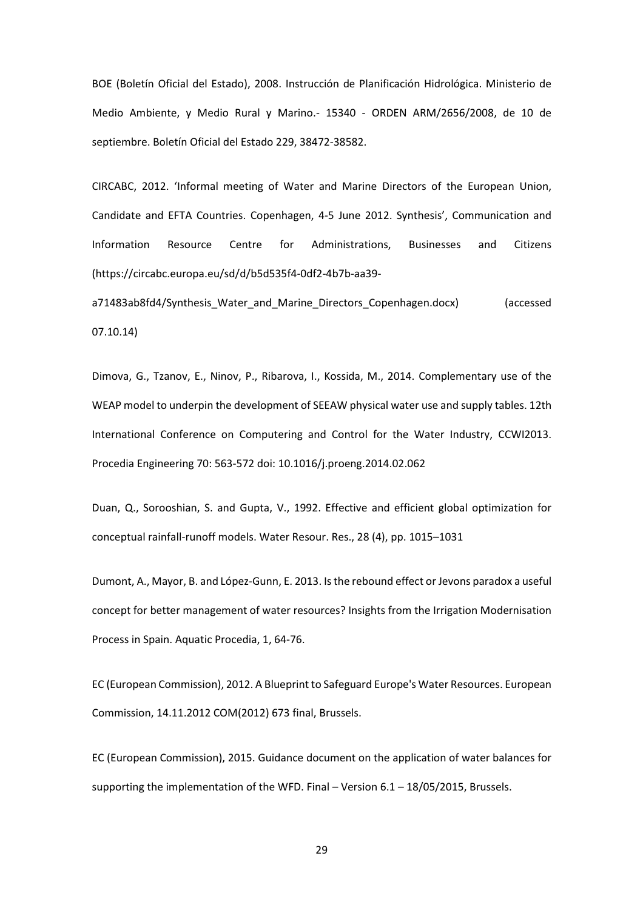BOE (Boletín Oficial del Estado), 2008. Instrucción de Planificación Hidrológica. Ministerio de Medio Ambiente, y Medio Rural y Marino.- 15340 - ORDEN ARM/2656/2008, de 10 de septiembre. Boletín Oficial del Estado 229, 38472-38582.

CIRCABC, 2012. 'Informal meeting of Water and Marine Directors of the European Union, Candidate and EFTA Countries. Copenhagen, 4-5 June 2012. Synthesis', Communication and Information Resource Centre for Administrations, Businesses and Citizens (https://circabc.europa.eu/sd/d/b5d535f4-0df2-4b7b-aa39-

a71483ab8fd4/Synthesis Water and Marine Directors Copenhagen.docx) (accessed 07.10.14)

Dimova, G., Tzanov, E., Ninov, P., Ribarova, I., Kossida, M., 2014. Complementary use of the WEAP model to underpin the development of SEEAW physical water use and supply tables. 12th International Conference on Computering and Control for the Water Industry, CCWI2013. Procedia Engineering 70: 563-572 doi: 10.1016/j.proeng.2014.02.062

Duan, Q., Sorooshian, S. and Gupta, V., 1992. Effective and efficient global optimization for conceptual rainfall-runoff models. Water Resour. Res., 28 (4), pp. 1015–1031

Dumont, A., Mayor, B. and López-Gunn, E. 2013. Is the rebound effect or Jevons paradox a useful concept for better management of water resources? Insights from the Irrigation Modernisation Process in Spain. Aquatic Procedia, 1, 64-76.

EC (European Commission), 2012. A Blueprint to Safeguard Europe's Water Resources. European Commission, 14.11.2012 COM(2012) 673 final, Brussels.

EC (European Commission), 2015. Guidance document on the application of water balances for supporting the implementation of the WFD. Final – Version 6.1 – 18/05/2015, Brussels.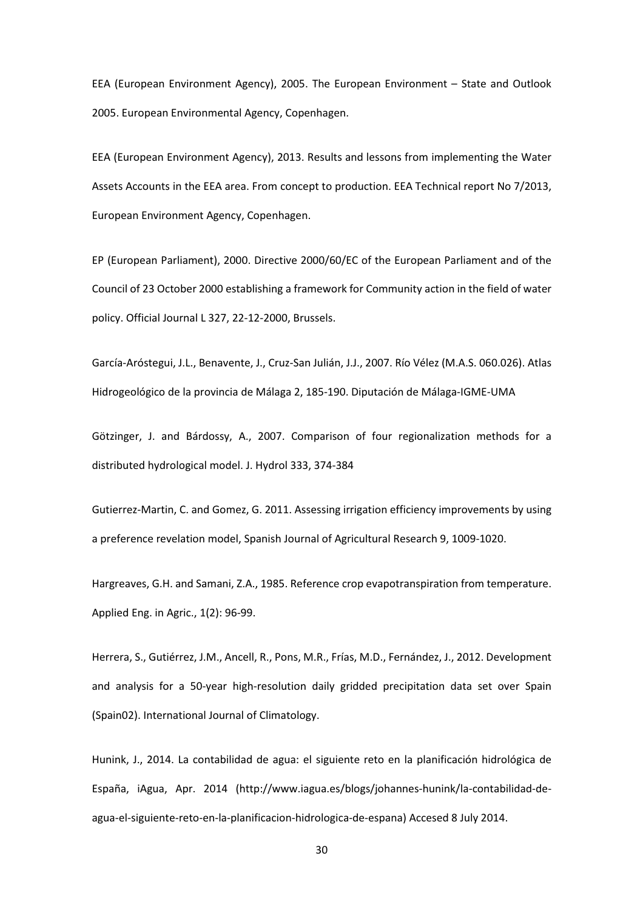EEA (European Environment Agency), 2005. The European Environment – State and Outlook 2005. European Environmental Agency, Copenhagen.

EEA (European Environment Agency), 2013. Results and lessons from implementing the Water Assets Accounts in the EEA area. From concept to production. EEA Technical report No 7/2013, European Environment Agency, Copenhagen.

EP (European Parliament), 2000. Directive 2000/60/EC of the European Parliament and of the Council of 23 October 2000 establishing a framework for Community action in the field of water policy. Official Journal L 327, 22-12-2000, Brussels.

García-Aróstegui, J.L., Benavente, J., Cruz-San Julián, J.J., 2007. Río Vélez (M.A.S. 060.026). Atlas Hidrogeológico de la provincia de Málaga 2, 185-190. Diputación de Málaga-IGME-UMA

Götzinger, J. and Bárdossy, A., 2007. Comparison of four regionalization methods for a distributed hydrological model. J. Hydrol 333, 374-384

Gutierrez-Martin, C. and Gomez, G. 2011. Assessing irrigation efficiency improvements by using a preference revelation model, Spanish Journal of Agricultural Research 9, 1009-1020.

Hargreaves, G.H. and Samani, Z.A., 1985. Reference crop evapotranspiration from temperature. Applied Eng. in Agric., 1(2): 96-99.

Herrera, S., Gutiérrez, J.M., Ancell, R., Pons, M.R., Frías, M.D., Fernández, J., 2012. Development and analysis for a 50-year high-resolution daily gridded precipitation data set over Spain (Spain02). International Journal of Climatology.

Hunink, J., 2014. La contabilidad de agua: el siguiente reto en la planificación hidrológica de España, iAgua, Apr. 2014 (http://www.iagua.es/blogs/johannes-hunink/la-contabilidad-deagua-el-siguiente-reto-en-la-planificacion-hidrologica-de-espana) Accesed 8 July 2014.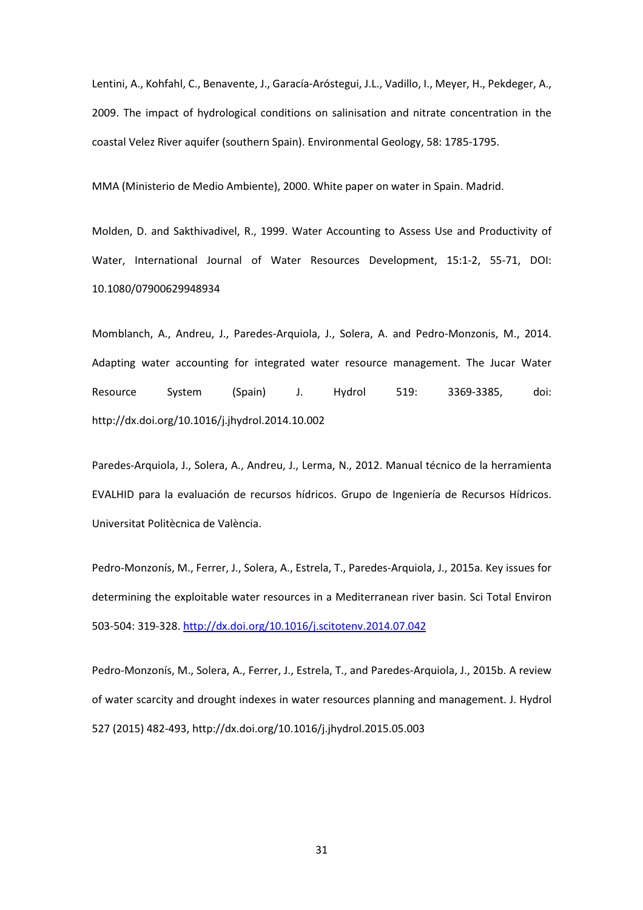Lentini, A., Kohfahl, C., Benavente, J., Garacía-Aróstegui, J.L., Vadillo, I., Meyer, H., Pekdeger, A., 2009. The impact of hydrological conditions on salinisation and nitrate concentration in the coastal Velez River aquifer (southern Spain). Environmental Geology, 58: 1785-1795.

MMA (Ministerio de Medio Ambiente), 2000. White paper on water in Spain. Madrid.

Molden, D. and Sakthivadivel, R., 1999. Water Accounting to Assess Use and Productivity of Water, International Journal of Water Resources Development, 15:1-2, 55-71, DOI: 10.1080/07900629948934

Momblanch, A., Andreu, J., Paredes-Arquiola, J., Solera, A. and Pedro-Monzonis, M., 2014. Adapting water accounting for integrated water resource management. The Jucar Water Resource System (Spain) J. Hydrol 519: 3369-3385, doi: http://dx.doi.org/10.1016/j.jhydrol.2014.10.002

Paredes-Arquiola, J., Solera, A., Andreu, J., Lerma, N., 2012. Manual técnico de la herramienta EVALHID para la evaluación de recursos hídricos. Grupo de Ingeniería de Recursos Hídricos. Universitat Politècnica de València.

Pedro-Monzonís, M., Ferrer, J., Solera, A., Estrela, T., Paredes-Arquiola, J., 2015a. Key issues for determining the exploitable water resources in a Mediterranean river basin. Sci Total Environ 503-504: 319-328. http://dx.doi.org/10.1016/j.scitotenv.2014.07.042

Pedro-Monzonís, M., Solera, A., Ferrer, J., Estrela, T., and Paredes-Arquiola, J., 2015b. A review of water scarcity and drought indexes in water resources planning and management. J. Hydrol 527 (2015) 482-493, http://dx.doi.org/10.1016/j.jhydrol.2015.05.003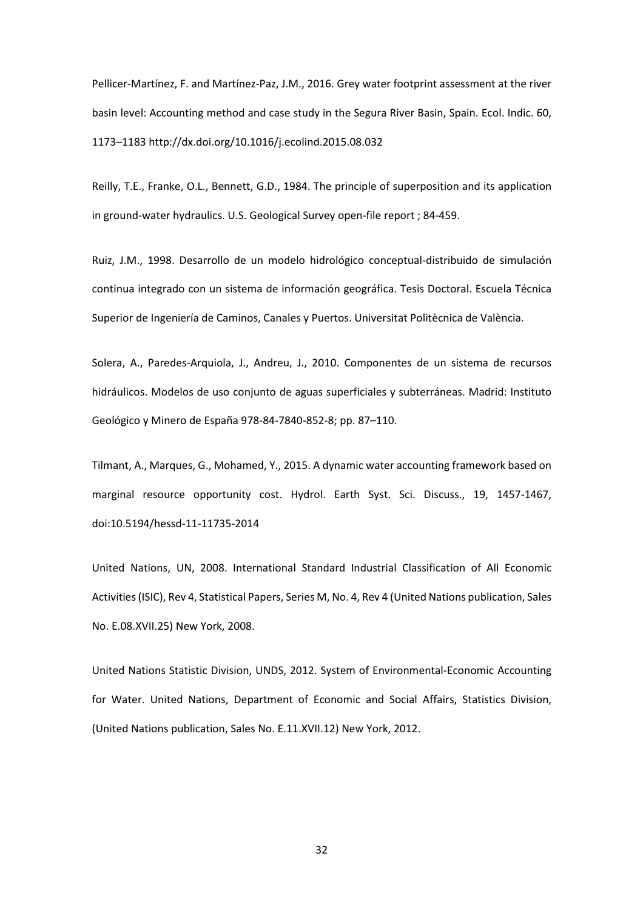Pellicer-Martínez, F. and Martínez-Paz, J.M., 2016. Grey water footprint assessment at the river basin level: Accounting method and case study in the Segura River Basin, Spain. Ecol. Indic. 60, 1173–1183 http://dx.doi.org/10.1016/j.ecolind.2015.08.032

Reilly, T.E., Franke, O.L., Bennett, G.D., 1984. The principle of superposition and its application in ground-water hydraulics. U.S. Geological Survey open-file report ; 84-459.

Ruiz, J.M., 1998. Desarrollo de un modelo hidrológico conceptual-distribuido de simulación continua integrado con un sistema de información geográfica. Tesis Doctoral. Escuela Técnica Superior de Ingeniería de Caminos, Canales y Puertos. Universitat Politècnica de València.

Solera, A., Paredes-Arquiola, J., Andreu, J., 2010. Componentes de un sistema de recursos hidráulicos. Modelos de uso conjunto de aguas superficiales y subterráneas. Madrid: Instituto Geológico y Minero de España 978-84-7840-852-8; pp. 87–110.

Tilmant, A., Marques, G., Mohamed, Y., 2015. A dynamic water accounting framework based on marginal resource opportunity cost. Hydrol. Earth Syst. Sci. Discuss., 19, 1457-1467, doi:10.5194/hessd-11-11735-2014

United Nations, UN, 2008. International Standard Industrial Classification of All Economic Activities (ISIC), Rev 4, Statistical Papers, Series M, No. 4, Rev 4 (United Nations publication, Sales No. E.08.XVII.25) New York, 2008.

United Nations Statistic Division, UNDS, 2012. System of Environmental-Economic Accounting for Water. United Nations, Department of Economic and Social Affairs, Statistics Division, (United Nations publication, Sales No. E.11.XVII.12) New York, 2012.

32